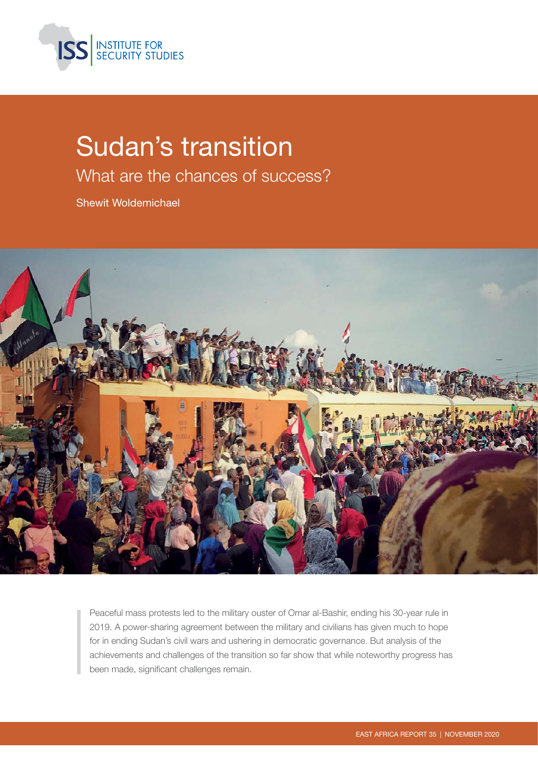

# Sudan's transition

What are the chances of success?

Shewit Woldemichael



Peaceful mass protests led to the military ouster of Omar al-Bashir, ending his 30-year rule in 2019. A power-sharing agreement between the military and civilians has given much to hope for in ending Sudan's civil wars and ushering in democratic governance. But analysis of the achievements and challenges of the transition so far show that while noteworthy progress has been made, significant challenges remain.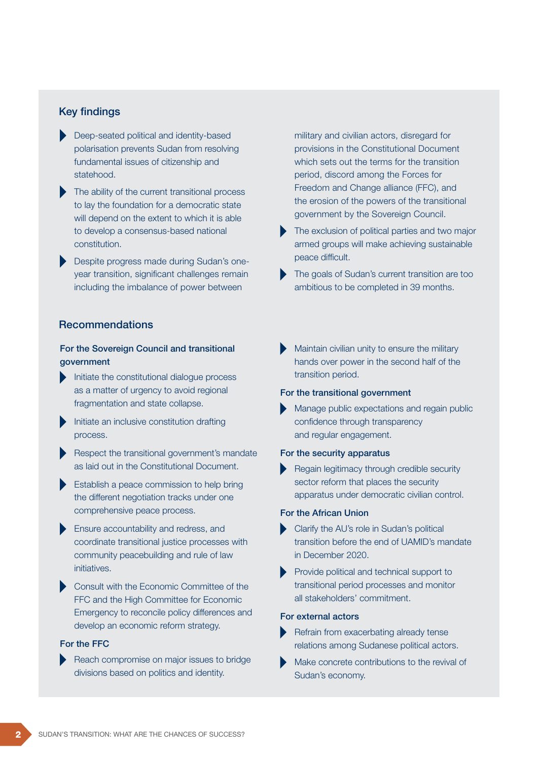#### Key findings

- Deep-seated political and identity-based polarisation prevents Sudan from resolving fundamental issues of citizenship and statehood.
- The ability of the current transitional process to lay the foundation for a democratic state will depend on the extent to which it is able to develop a consensus-based national constitution.
- Despite progress made during Sudan's oneyear transition, significant challenges remain including the imbalance of power between

#### Recommendations

#### For the Sovereign Council and transitional government

- Initiate the constitutional dialogue process as a matter of urgency to avoid regional fragmentation and state collapse.
- Initiate an inclusive constitution drafting process.
- Respect the transitional government's mandate as laid out in the Constitutional Document.
- Establish a peace commission to help bring the different negotiation tracks under one comprehensive peace process.
- Ensure accountability and redress, and coordinate transitional justice processes with community peacebuilding and rule of law initiatives.
- Consult with the Economic Committee of the FFC and the High Committee for Economic Emergency to reconcile policy differences and develop an economic reform strategy.

#### For the FFC

 Reach compromise on major issues to bridge divisions based on politics and identity.

military and civilian actors, disregard for provisions in the Constitutional Document which sets out the terms for the transition period, discord among the Forces for Freedom and Change alliance (FFC), and the erosion of the powers of the transitional government by the Sovereign Council.

The exclusion of political parties and two major armed groups will make achieving sustainable peace difficult.

The goals of Sudan's current transition are too ambitious to be completed in 39 months.

### Maintain civilian unity to ensure the military hands over power in the second half of the transition period.

#### For the transitional government

 Manage public expectations and regain public confidence through transparency and regular engagement.

#### For the security apparatus

Regain legitimacy through credible security sector reform that places the security apparatus under democratic civilian control.

#### For the African Union

- Clarify the AU's role in Sudan's political transition before the end of UAMID's mandate in December 2020.
- Provide political and technical support to transitional period processes and monitor all stakeholders' commitment.

#### For external actors

- Refrain from exacerbating already tense relations among Sudanese political actors.
- Make concrete contributions to the revival of Sudan's economy.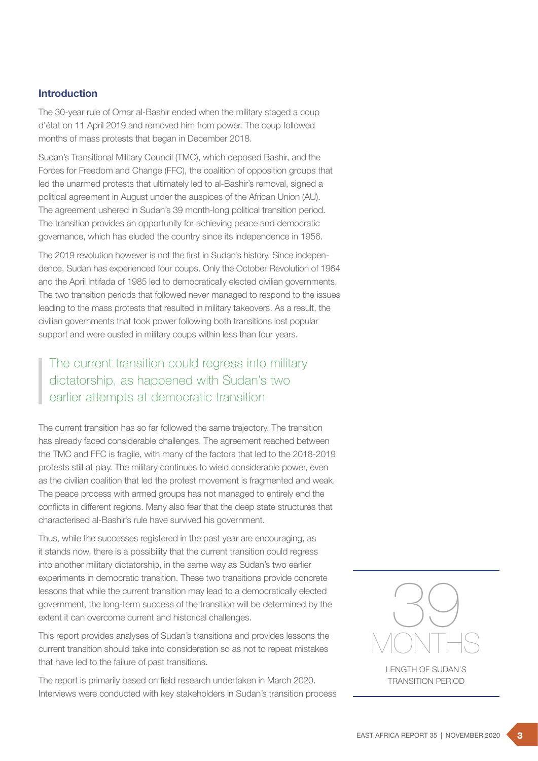#### Introduction

The 30-year rule of Omar al-Bashir ended when the military staged a coup d'état on 11 April 2019 and removed him from power. The coup followed months of mass protests that began in December 2018.

Sudan's Transitional Military Council (TMC), which deposed Bashir, and the Forces for Freedom and Change (FFC), the coalition of opposition groups that led the unarmed protests that ultimately led to al-Bashir's removal, signed a political agreement in August under the auspices of the African Union (AU). The agreement ushered in Sudan's 39 month-long political transition period. The transition provides an opportunity for achieving peace and democratic governance, which has eluded the country since its independence in 1956.

The 2019 revolution however is not the first in Sudan's history. Since independence, Sudan has experienced four coups. Only the October Revolution of 1964 and the April Intifada of 1985 led to democratically elected civilian governments. The two transition periods that followed never managed to respond to the issues leading to the mass protests that resulted in military takeovers. As a result, the civilian governments that took power following both transitions lost popular support and were ousted in military coups within less than four years.

# The current transition could regress into military dictatorship, as happened with Sudan's two earlier attempts at democratic transition

The current transition has so far followed the same trajectory. The transition has already faced considerable challenges. The agreement reached between the TMC and FFC is fragile, with many of the factors that led to the 2018-2019 protests still at play. The military continues to wield considerable power, even as the civilian coalition that led the protest movement is fragmented and weak. The peace process with armed groups has not managed to entirely end the conflicts in different regions. Many also fear that the deep state structures that characterised al-Bashir's rule have survived his government.

Thus, while the successes registered in the past year are encouraging, as it stands now, there is a possibility that the current transition could regress into another military dictatorship, in the same way as Sudan's two earlier experiments in democratic transition. These two transitions provide concrete lessons that while the current transition may lead to a democratically elected government, the long-term success of the transition will be determined by the extent it can overcome current and historical challenges.

This report provides analyses of Sudan's transitions and provides lessons the current transition should take into consideration so as not to repeat mistakes that have led to the failure of past transitions.

The report is primarily based on field research undertaken in March 2020. Interviews were conducted with key stakeholders in Sudan's transition process



LENGTH OF SUDAN'S TRANSITION PERIOD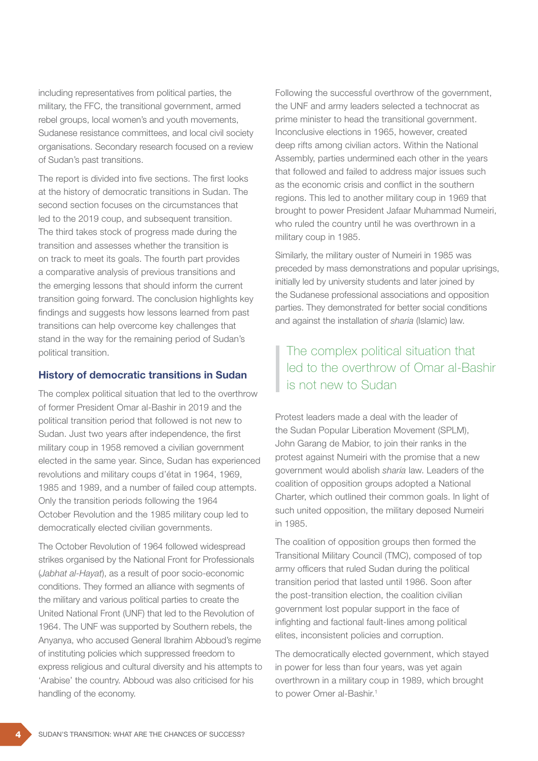including representatives from political parties, the military, the FFC, the transitional government, armed rebel groups, local women's and youth movements, Sudanese resistance committees, and local civil society organisations. Secondary research focused on a review of Sudan's past transitions.

The report is divided into five sections. The first looks at the history of democratic transitions in Sudan. The second section focuses on the circumstances that led to the 2019 coup, and subsequent transition. The third takes stock of progress made during the transition and assesses whether the transition is on track to meet its goals. The fourth part provides a comparative analysis of previous transitions and the emerging lessons that should inform the current transition going forward. The conclusion highlights key findings and suggests how lessons learned from past transitions can help overcome key challenges that stand in the way for the remaining period of Sudan's political transition.

#### History of democratic transitions in Sudan

The complex political situation that led to the overthrow of former President Omar al-Bashir in 2019 and the political transition period that followed is not new to Sudan. Just two years after independence, the first military coup in 1958 removed a civilian government elected in the same year. Since, Sudan has experienced revolutions and military coups d'état in 1964, 1969, 1985 and 1989, and a number of failed coup attempts. Only the transition periods following the 1964 October Revolution and the 1985 military coup led to democratically elected civilian governments.

The October Revolution of 1964 followed widespread strikes organised by the National Front for Professionals (*Jabhat al-Hayat*), as a result of poor socio-economic conditions. They formed an alliance with segments of the military and various political parties to create the United National Front (UNF) that led to the Revolution of 1964. The UNF was supported by Southern rebels, the Anyanya, who accused General Ibrahim Abboud's regime of instituting policies which suppressed freedom to express religious and cultural diversity and his attempts to 'Arabise' the country. Abboud was also criticised for his handling of the economy.

Following the successful overthrow of the government, the UNF and army leaders selected a technocrat as prime minister to head the transitional government. Inconclusive elections in 1965, however, created deep rifts among civilian actors. Within the National Assembly, parties undermined each other in the years that followed and failed to address major issues such as the economic crisis and conflict in the southern regions. This led to another military coup in 1969 that brought to power President Jafaar Muhammad Numeiri, who ruled the country until he was overthrown in a military coup in 1985.

Similarly, the military ouster of Numeiri in 1985 was preceded by mass demonstrations and popular uprisings, initially led by university students and later joined by the Sudanese professional associations and opposition parties. They demonstrated for better social conditions and against the installation of *sharia* (Islamic) law.

### The complex political situation that led to the overthrow of Omar al-Bashir is not new to Sudan

Protest leaders made a deal with the leader of the Sudan Popular Liberation Movement (SPLM), John Garang de Mabior, to join their ranks in the protest against Numeiri with the promise that a new government would abolish *sharia* law. Leaders of the coalition of opposition groups adopted a National Charter, which outlined their common goals. In light of such united opposition, the military deposed Numeiri in 1985.

The coalition of opposition groups then formed the Transitional Military Council (TMC), composed of top army officers that ruled Sudan during the political transition period that lasted until 1986. Soon after the post-transition election, the coalition civilian government lost popular support in the face of infighting and factional fault-lines among political elites, inconsistent policies and corruption.

The democratically elected government, which stayed in power for less than four years, was yet again overthrown in a military coup in 1989, which brought to power Omer al-Bashir.<sup>1</sup>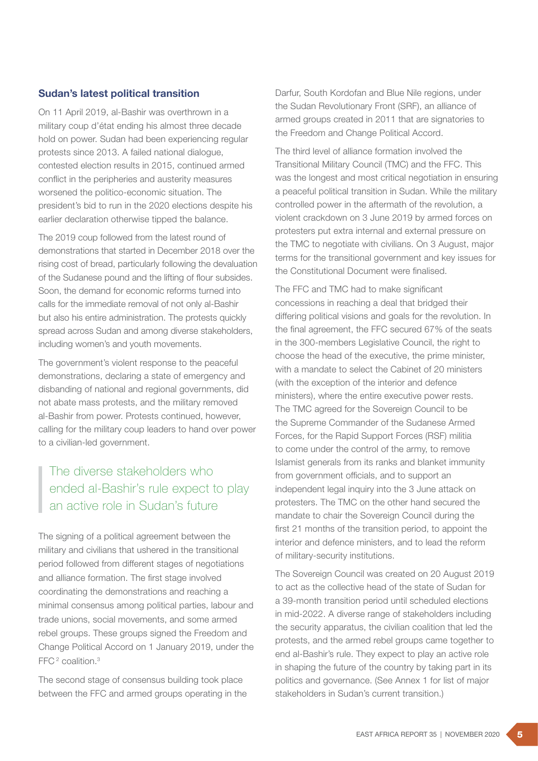### Sudan's latest political transition

On 11 April 2019, al-Bashir was overthrown in a military coup d'état ending his almost three decade hold on power. Sudan had been experiencing regular protests since 2013. A failed national dialogue, contested election results in 2015, continued armed conflict in the peripheries and austerity measures worsened the politico-economic situation. The president's bid to run in the 2020 elections despite his earlier declaration otherwise tipped the balance.

The 2019 coup followed from the latest round of demonstrations that started in December 2018 over the rising cost of bread, particularly following the devaluation of the Sudanese pound and the lifting of flour subsides. Soon, the demand for economic reforms turned into calls for the immediate removal of not only al-Bashir but also his entire administration. The protests quickly spread across Sudan and among diverse stakeholders, including women's and youth movements.

The government's violent response to the peaceful demonstrations, declaring a state of emergency and disbanding of national and regional governments, did not abate mass protests, and the military removed al-Bashir from power. Protests continued, however, calling for the military coup leaders to hand over power to a civilian-led government.

### The diverse stakeholders who ended al-Bashir's rule expect to play an active role in Sudan's future

The signing of a political agreement between the military and civilians that ushered in the transitional period followed from different stages of negotiations and alliance formation. The first stage involved coordinating the demonstrations and reaching a minimal consensus among political parties, labour and trade unions, social movements, and some armed rebel groups. These groups signed the Freedom and Change Political Accord on 1 January 2019, under the FFC<sup>2</sup> coalition.<sup>3</sup>

The second stage of consensus building took place between the FFC and armed groups operating in the Darfur, South Kordofan and Blue Nile regions, under the Sudan Revolutionary Front (SRF), an alliance of armed groups created in 2011 that are signatories to the Freedom and Change Political Accord.

The third level of alliance formation involved the Transitional Military Council (TMC) and the FFC. This was the longest and most critical negotiation in ensuring a peaceful political transition in Sudan. While the military controlled power in the aftermath of the revolution, a violent crackdown on 3 June 2019 by armed forces on protesters put extra internal and external pressure on the TMC to negotiate with civilians. On 3 August, major terms for the transitional government and key issues for the Constitutional Document were finalised.

The FFC and TMC had to make significant concessions in reaching a deal that bridged their differing political visions and goals for the revolution. In the final agreement, the FFC secured 67% of the seats in the 300-members Legislative Council, the right to choose the head of the executive, the prime minister, with a mandate to select the Cabinet of 20 ministers (with the exception of the interior and defence ministers), where the entire executive power rests. The TMC agreed for the Sovereign Council to be the Supreme Commander of the Sudanese Armed Forces, for the Rapid Support Forces (RSF) militia to come under the control of the army, to remove Islamist generals from its ranks and blanket immunity from government officials, and to support an independent legal inquiry into the 3 June attack on protesters. The TMC on the other hand secured the mandate to chair the Sovereign Council during the first 21 months of the transition period, to appoint the interior and defence ministers, and to lead the reform of military-security institutions.

The Sovereign Council was created on 20 August 2019 to act as the collective head of the state of Sudan for a 39-month transition period until scheduled elections in mid-2022. A diverse range of stakeholders including the security apparatus, the civilian coalition that led the protests, and the armed rebel groups came together to end al-Bashir's rule. They expect to play an active role in shaping the future of the country by taking part in its politics and governance. (See Annex 1 for list of major stakeholders in Sudan's current transition.)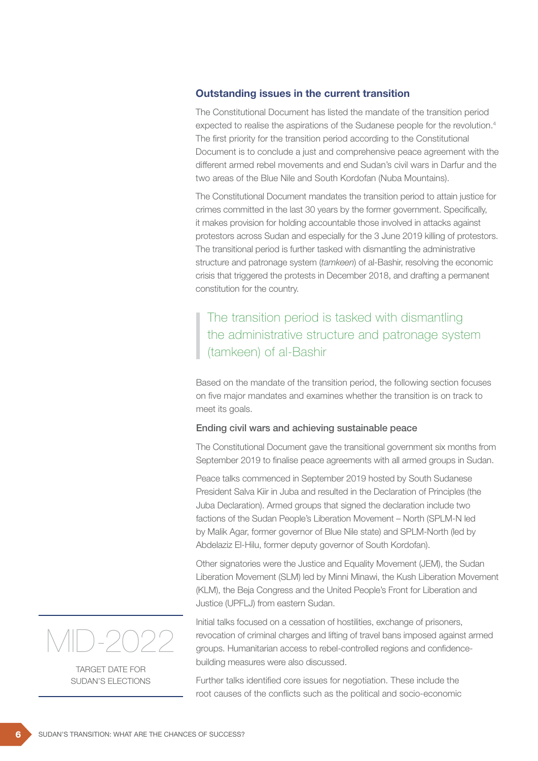### Outstanding issues in the current transition

The Constitutional Document has listed the mandate of the transition period expected to realise the aspirations of the Sudanese people for the revolution.<sup>4</sup> The first priority for the transition period according to the Constitutional Document is to conclude a just and comprehensive peace agreement with the different armed rebel movements and end Sudan's civil wars in Darfur and the two areas of the Blue Nile and South Kordofan (Nuba Mountains).

The Constitutional Document mandates the transition period to attain justice for crimes committed in the last 30 years by the former government. Specifically, it makes provision for holding accountable those involved in attacks against protestors across Sudan and especially for the 3 June 2019 killing of protestors. The transitional period is further tasked with dismantling the administrative structure and patronage system (*tamkeen*) of al-Bashir, resolving the economic crisis that triggered the protests in December 2018, and drafting a permanent constitution for the country.

## The transition period is tasked with dismantling the administrative structure and patronage system (tamkeen) of al-Bashir

Based on the mandate of the transition period, the following section focuses on five major mandates and examines whether the transition is on track to meet its goals.

#### Ending civil wars and achieving sustainable peace

The Constitutional Document gave the transitional government six months from September 2019 to finalise peace agreements with all armed groups in Sudan.

Peace talks commenced in September 2019 hosted by South Sudanese President Salva Kiir in Juba and resulted in the Declaration of Principles (the Juba Declaration). Armed groups that signed the declaration include two factions of the Sudan People's Liberation Movement – North (SPLM-N led by Malik Agar, former governor of Blue Nile state) and SPLM-North (led by Abdelaziz El-Hilu, former deputy governor of South Kordofan).

Other signatories were the Justice and Equality Movement (JEM), the Sudan Liberation Movement (SLM) led by Minni Minawi, the Kush Liberation Movement (KLM), the Beja Congress and the United People's Front for Liberation and Justice (UPFLJ) from eastern Sudan.

Initial talks focused on a cessation of hostilities, exchange of prisoners, revocation of criminal charges and lifting of travel bans imposed against armed groups. Humanitarian access to rebel-controlled regions and confidencebuilding measures were also discussed.

Further talks identified core issues for negotiation. These include the root causes of the conflicts such as the political and socio-economic



TARGET DATE FOR SUDAN'S ELECTIONS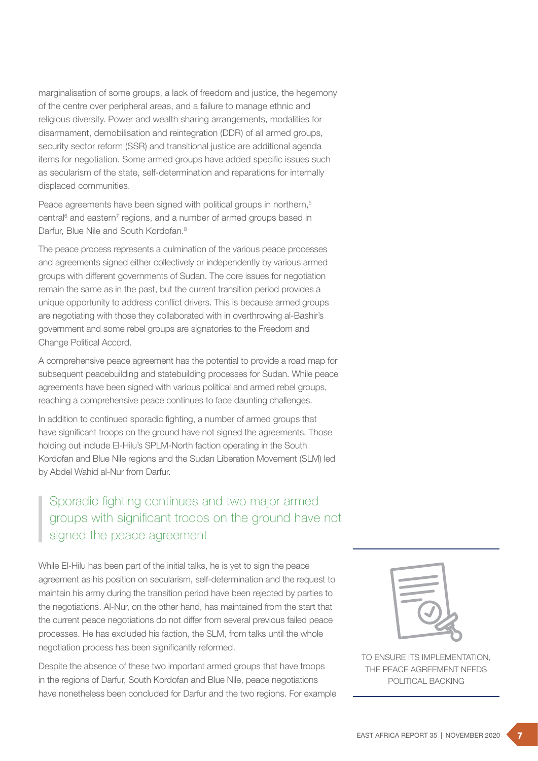marginalisation of some groups, a lack of freedom and justice, the hegemony of the centre over peripheral areas, and a failure to manage ethnic and religious diversity. Power and wealth sharing arrangements, modalities for disarmament, demobilisation and reintegration (DDR) of all armed groups, security sector reform (SSR) and transitional justice are additional agenda items for negotiation. Some armed groups have added specific issues such as secularism of the state, self-determination and reparations for internally displaced communities.

Peace agreements have been signed with political groups in northern.<sup>5</sup> central<sup>6</sup> and eastern<sup>7</sup> regions, and a number of armed groups based in Darfur, Blue Nile and South Kordofan.<sup>8</sup>

The peace process represents a culmination of the various peace processes and agreements signed either collectively or independently by various armed groups with different governments of Sudan. The core issues for negotiation remain the same as in the past, but the current transition period provides a unique opportunity to address conflict drivers. This is because armed groups are negotiating with those they collaborated with in overthrowing al-Bashir's government and some rebel groups are signatories to the Freedom and Change Political Accord.

A comprehensive peace agreement has the potential to provide a road map for subsequent peacebuilding and statebuilding processes for Sudan. While peace agreements have been signed with various political and armed rebel groups, reaching a comprehensive peace continues to face daunting challenges.

In addition to continued sporadic fighting, a number of armed groups that have significant troops on the ground have not signed the agreements. Those holding out include El-Hilu's SPLM-North faction operating in the South Kordofan and Blue Nile regions and the Sudan Liberation Movement (SLM) led by Abdel Wahid al-Nur from Darfur.

# Sporadic fighting continues and two major armed groups with significant troops on the ground have not signed the peace agreement

While El-Hilu has been part of the initial talks, he is yet to sign the peace agreement as his position on secularism, self-determination and the request to maintain his army during the transition period have been rejected by parties to the negotiations. Al-Nur, on the other hand, has maintained from the start that the current peace negotiations do not differ from several previous failed peace processes. He has excluded his faction, the SLM, from talks until the whole negotiation process has been significantly reformed.

Despite the absence of these two important armed groups that have troops in the regions of Darfur, South Kordofan and Blue Nile, peace negotiations have nonetheless been concluded for Darfur and the two regions. For example



TO ENSURE ITS IMPLEMENTATION, THE PEACE AGREEMENT NEEDS POLITICAL BACKING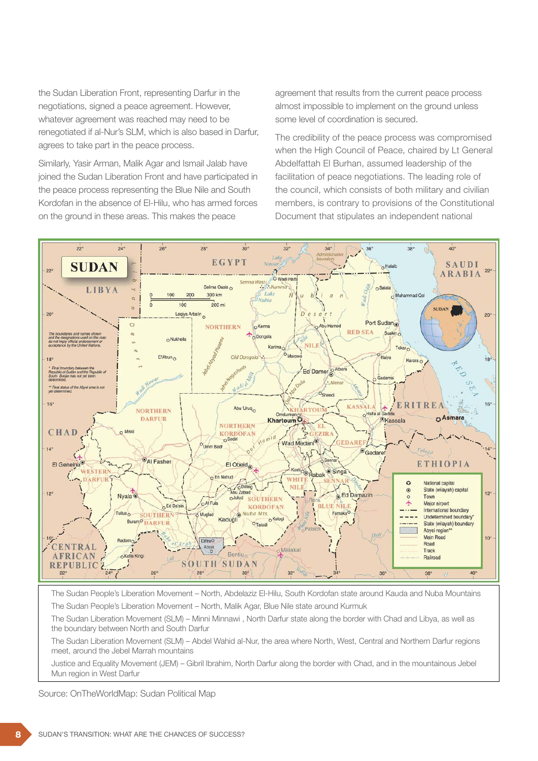the Sudan Liberation Front, representing Darfur in the negotiations, signed a peace agreement. However, whatever agreement was reached may need to be renegotiated if al-Nur's SLM, which is also based in Darfur, agrees to take part in the peace process.

Similarly, Yasir Arman, Malik Agar and Ismail Jalab have joined the Sudan Liberation Front and have participated in the peace process representing the Blue Nile and South Kordofan in the absence of El-Hilu, who has armed forces on the ground in these areas. This makes the peace

agreement that results from the current peace process almost impossible to implement on the ground unless some level of coordination is secured.

The credibility of the peace process was compromised when the High Council of Peace, chaired by Lt General Abdelfattah El Burhan, assumed leadership of the facilitation of peace negotiations. The leading role of the council, which consists of both military and civilian members, is contrary to provisions of the Constitutional Document that stipulates an independent national



The Sudan People's Liberation Movement – North, Abdelaziz El-Hilu, South Kordofan state around Kauda and Nuba Mountains The Sudan People's Liberation Movement – North, Malik Agar, Blue Nile state around Kurmuk

The Sudan Liberation Movement (SLM) – Minni Minnawi , North Darfur state along the border with Chad and Libya, as well as the boundary between North and South Darfur

The Sudan Liberation Movement (SLM) – Abdel Wahid al-Nur, the area where North, West, Central and Northern Darfur regions meet, around the Jebel Marrah mountains

Justice and Equality Movement (JEM) – Gibril Ibrahim, North Darfur along the border with Chad, and in the mountainous Jebel Mun region in West Darfur

Source: OnTheWorldMap: Sudan Political Map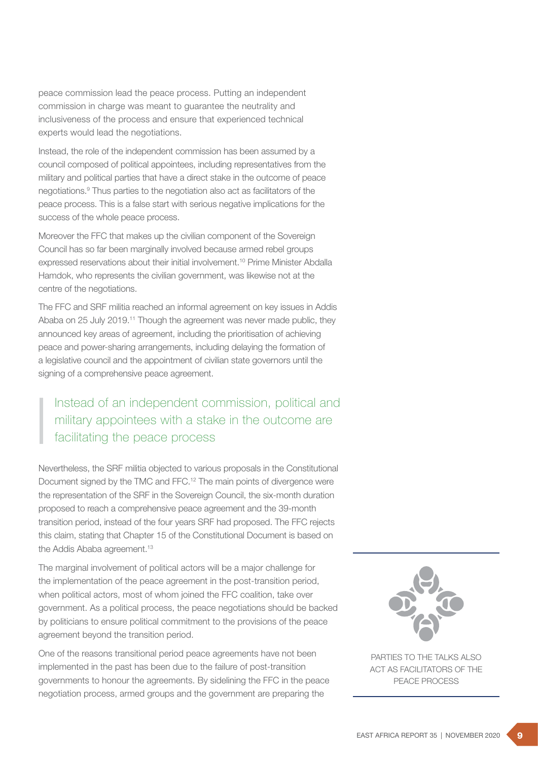peace commission lead the peace process. Putting an independent commission in charge was meant to guarantee the neutrality and inclusiveness of the process and ensure that experienced technical experts would lead the negotiations.

Instead, the role of the independent commission has been assumed by a council composed of political appointees, including representatives from the military and political parties that have a direct stake in the outcome of peace negotiations.9 Thus parties to the negotiation also act as facilitators of the peace process. This is a false start with serious negative implications for the success of the whole peace process.

Moreover the FFC that makes up the civilian component of the Sovereign Council has so far been marginally involved because armed rebel groups expressed reservations about their initial involvement.10 Prime Minister Abdalla Hamdok, who represents the civilian government, was likewise not at the centre of the negotiations.

The FFC and SRF militia reached an informal agreement on key issues in Addis Ababa on 25 July 2019.<sup>11</sup> Though the agreement was never made public, they announced key areas of agreement, including the prioritisation of achieving peace and power-sharing arrangements, including delaying the formation of a legislative council and the appointment of civilian state governors until the signing of a comprehensive peace agreement.

Instead of an independent commission, political and military appointees with a stake in the outcome are facilitating the peace process

Nevertheless, the SRF militia objected to various proposals in the Constitutional Document signed by the TMC and FFC.12 The main points of divergence were the representation of the SRF in the Sovereign Council, the six-month duration proposed to reach a comprehensive peace agreement and the 39-month transition period, instead of the four years SRF had proposed. The FFC rejects this claim, stating that Chapter 15 of the Constitutional Document is based on the Addis Ababa agreement.<sup>13</sup>

The marginal involvement of political actors will be a major challenge for the implementation of the peace agreement in the post-transition period, when political actors, most of whom joined the FFC coalition, take over government. As a political process, the peace negotiations should be backed by politicians to ensure political commitment to the provisions of the peace agreement beyond the transition period.

One of the reasons transitional period peace agreements have not been implemented in the past has been due to the failure of post-transition governments to honour the agreements. By sidelining the FFC in the peace negotiation process, armed groups and the government are preparing the



PARTIES TO THE TALKS ALSO ACT AS FACILITATORS OF THE PEACE PROCESS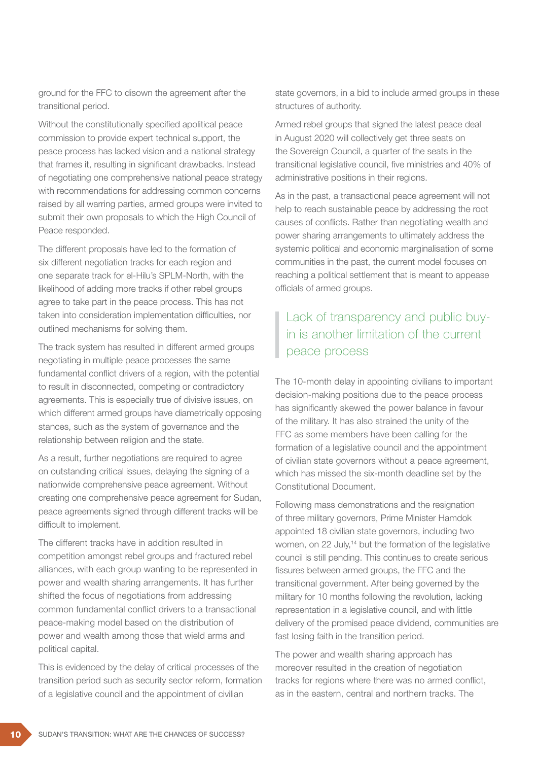ground for the FFC to disown the agreement after the transitional period.

Without the constitutionally specified apolitical peace commission to provide expert technical support, the peace process has lacked vision and a national strategy that frames it, resulting in significant drawbacks. Instead of negotiating one comprehensive national peace strategy with recommendations for addressing common concerns raised by all warring parties, armed groups were invited to submit their own proposals to which the High Council of Peace responded.

The different proposals have led to the formation of six different negotiation tracks for each region and one separate track for el-Hilu's SPLM-North, with the likelihood of adding more tracks if other rebel groups agree to take part in the peace process. This has not taken into consideration implementation difficulties, nor outlined mechanisms for solving them.

The track system has resulted in different armed groups negotiating in multiple peace processes the same fundamental conflict drivers of a region, with the potential to result in disconnected, competing or contradictory agreements. This is especially true of divisive issues, on which different armed groups have diametrically opposing stances, such as the system of governance and the relationship between religion and the state.

As a result, further negotiations are required to agree on outstanding critical issues, delaying the signing of a nationwide comprehensive peace agreement. Without creating one comprehensive peace agreement for Sudan, peace agreements signed through different tracks will be difficult to implement.

The different tracks have in addition resulted in competition amongst rebel groups and fractured rebel alliances, with each group wanting to be represented in power and wealth sharing arrangements. It has further shifted the focus of negotiations from addressing common fundamental conflict drivers to a transactional peace-making model based on the distribution of power and wealth among those that wield arms and political capital.

This is evidenced by the delay of critical processes of the transition period such as security sector reform, formation of a legislative council and the appointment of civilian

state governors, in a bid to include armed groups in these structures of authority.

Armed rebel groups that signed the latest peace deal in August 2020 will collectively get three seats on the Sovereign Council, a quarter of the seats in the transitional legislative council, five ministries and 40% of administrative positions in their regions.

As in the past, a transactional peace agreement will not help to reach sustainable peace by addressing the root causes of conflicts. Rather than negotiating wealth and power sharing arrangements to ultimately address the systemic political and economic marginalisation of some communities in the past, the current model focuses on reaching a political settlement that is meant to appease officials of armed groups.

### Lack of transparency and public buyin is another limitation of the current peace process

The 10-month delay in appointing civilians to important decision-making positions due to the peace process has significantly skewed the power balance in favour of the military. It has also strained the unity of the FFC as some members have been calling for the formation of a legislative council and the appointment of civilian state governors without a peace agreement, which has missed the six-month deadline set by the Constitutional Document.

Following mass demonstrations and the resignation of three military governors, Prime Minister Hamdok appointed 18 civilian state governors, including two women, on 22 July,<sup>14</sup> but the formation of the legislative council is still pending. This continues to create serious fissures between armed groups, the FFC and the transitional government. After being governed by the military for 10 months following the revolution, lacking representation in a legislative council, and with little delivery of the promised peace dividend, communities are fast losing faith in the transition period.

The power and wealth sharing approach has moreover resulted in the creation of negotiation tracks for regions where there was no armed conflict, as in the eastern, central and northern tracks. The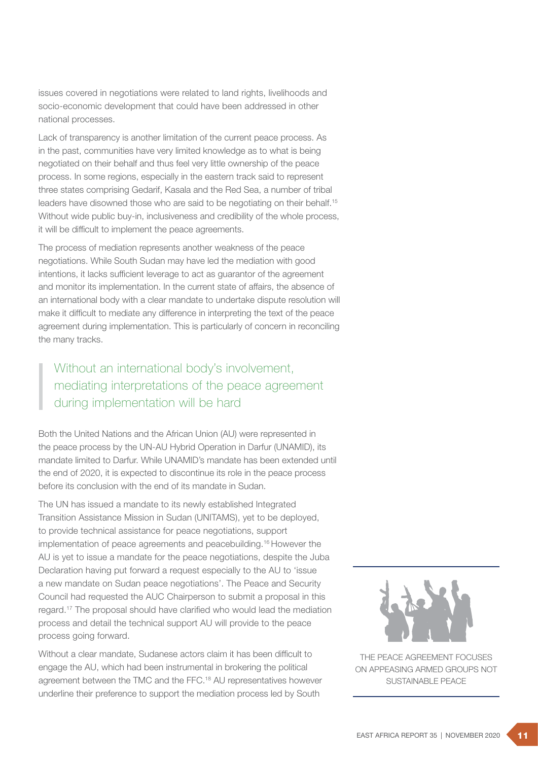issues covered in negotiations were related to land rights, livelihoods and socio-economic development that could have been addressed in other national processes.

Lack of transparency is another limitation of the current peace process. As in the past, communities have very limited knowledge as to what is being negotiated on their behalf and thus feel very little ownership of the peace process. In some regions, especially in the eastern track said to represent three states comprising Gedarif, Kasala and the Red Sea, a number of tribal leaders have disowned those who are said to be negotiating on their behalf.<sup>15</sup> Without wide public buy-in, inclusiveness and credibility of the whole process, it will be difficult to implement the peace agreements.

The process of mediation represents another weakness of the peace negotiations. While South Sudan may have led the mediation with good intentions, it lacks sufficient leverage to act as guarantor of the agreement and monitor its implementation. In the current state of affairs, the absence of an international body with a clear mandate to undertake dispute resolution will make it difficult to mediate any difference in interpreting the text of the peace agreement during implementation. This is particularly of concern in reconciling the many tracks.

# Without an international body's involvement, mediating interpretations of the peace agreement during implementation will be hard

Both the United Nations and the African Union (AU) were represented in the peace process by the UN-AU Hybrid Operation in Darfur (UNAMID), its mandate limited to Darfur. While UNAMID's mandate has been extended until the end of 2020, it is expected to discontinue its role in the peace process before its conclusion with the end of its mandate in Sudan.

The UN has issued a mandate to its newly established Integrated Transition Assistance Mission in Sudan (UNITAMS), yet to be deployed, to provide technical assistance for peace negotiations, support implementation of peace agreements and peacebuilding.16 However the AU is yet to issue a mandate for the peace negotiations, despite the Juba Declaration having put forward a request especially to the AU to 'issue a new mandate on Sudan peace negotiations'. The Peace and Security Council had requested the AUC Chairperson to submit a proposal in this regard.17 The proposal should have clarified who would lead the mediation process and detail the technical support AU will provide to the peace process going forward.

Without a clear mandate, Sudanese actors claim it has been difficult to engage the AU, which had been instrumental in brokering the political agreement between the TMC and the FFC.18 AU representatives however underline their preference to support the mediation process led by South



THE PEACE AGREEMENT FOCUSES ON APPEASING ARMED GROUPS NOT SUSTAINABLE PEACE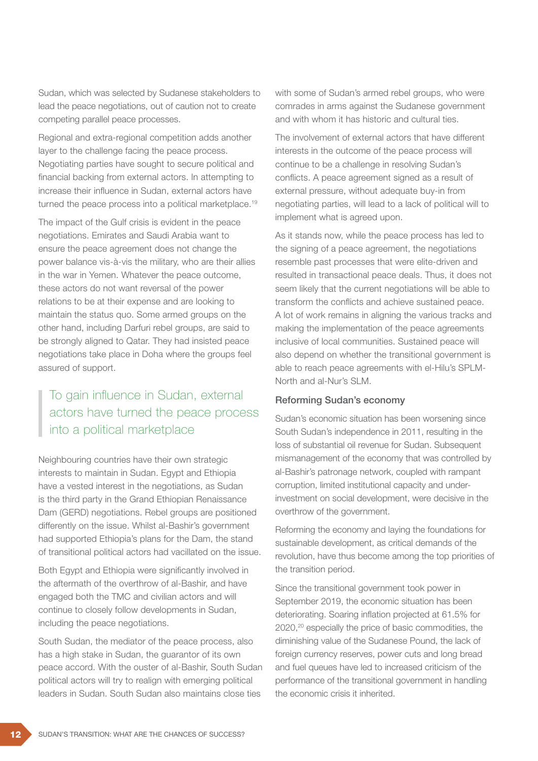Sudan, which was selected by Sudanese stakeholders to lead the peace negotiations, out of caution not to create competing parallel peace processes.

Regional and extra-regional competition adds another layer to the challenge facing the peace process. Negotiating parties have sought to secure political and financial backing from external actors. In attempting to increase their influence in Sudan, external actors have turned the peace process into a political marketplace.<sup>19</sup>

The impact of the Gulf crisis is evident in the peace negotiations. Emirates and Saudi Arabia want to ensure the peace agreement does not change the power balance vis-à-vis the military, who are their allies in the war in Yemen. Whatever the peace outcome, these actors do not want reversal of the power relations to be at their expense and are looking to maintain the status quo. Some armed groups on the other hand, including Darfuri rebel groups, are said to be strongly aligned to Qatar. They had insisted peace negotiations take place in Doha where the groups feel assured of support.

### To gain influence in Sudan, external actors have turned the peace process into a political marketplace

Neighbouring countries have their own strategic interests to maintain in Sudan. Egypt and Ethiopia have a vested interest in the negotiations, as Sudan is the third party in the Grand Ethiopian Renaissance Dam (GERD) negotiations. Rebel groups are positioned differently on the issue. Whilst al-Bashir's government had supported Ethiopia's plans for the Dam, the stand of transitional political actors had vacillated on the issue.

Both Egypt and Ethiopia were significantly involved in the aftermath of the overthrow of al-Bashir, and have engaged both the TMC and civilian actors and will continue to closely follow developments in Sudan, including the peace negotiations.

South Sudan, the mediator of the peace process, also has a high stake in Sudan, the guarantor of its own peace accord. With the ouster of al-Bashir, South Sudan political actors will try to realign with emerging political leaders in Sudan. South Sudan also maintains close ties

with some of Sudan's armed rebel groups, who were comrades in arms against the Sudanese government and with whom it has historic and cultural ties.

The involvement of external actors that have different interests in the outcome of the peace process will continue to be a challenge in resolving Sudan's conflicts. A peace agreement signed as a result of external pressure, without adequate buy-in from negotiating parties, will lead to a lack of political will to implement what is agreed upon.

As it stands now, while the peace process has led to the signing of a peace agreement, the negotiations resemble past processes that were elite-driven and resulted in transactional peace deals. Thus, it does not seem likely that the current negotiations will be able to transform the conflicts and achieve sustained peace. A lot of work remains in aligning the various tracks and making the implementation of the peace agreements inclusive of local communities. Sustained peace will also depend on whether the transitional government is able to reach peace agreements with el-Hilu's SPLM-North and al-Nur's SLM.

#### Reforming Sudan's economy

Sudan's economic situation has been worsening since South Sudan's independence in 2011, resulting in the loss of substantial oil revenue for Sudan. Subsequent mismanagement of the economy that was controlled by al-Bashir's patronage network, coupled with rampant corruption, limited institutional capacity and underinvestment on social development, were decisive in the overthrow of the government.

Reforming the economy and laying the foundations for sustainable development, as critical demands of the revolution, have thus become among the top priorities of the transition period.

Since the transitional government took power in September 2019, the economic situation has been deteriorating. Soaring inflation projected at 61.5% for 2020,<sup>20</sup> especially the price of basic commodities, the diminishing value of the Sudanese Pound, the lack of foreign currency reserves, power cuts and long bread and fuel queues have led to increased criticism of the performance of the transitional government in handling the economic crisis it inherited.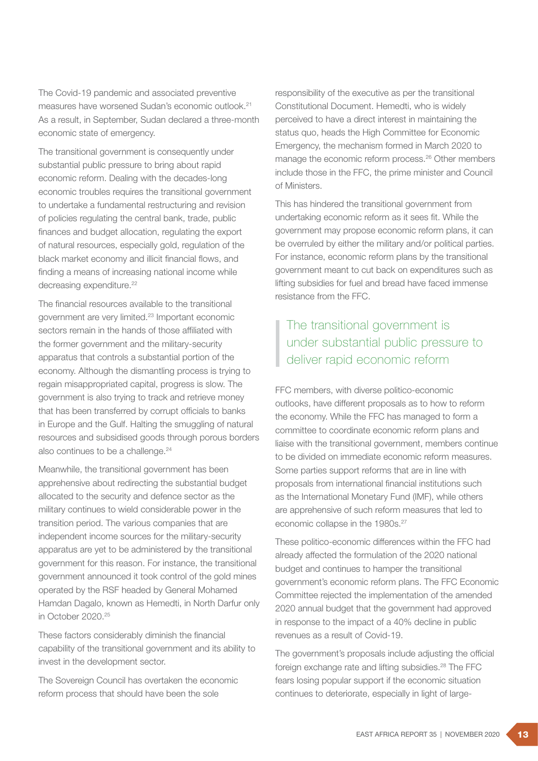The Covid-19 pandemic and associated preventive measures have worsened Sudan's economic outlook.21 As a result, in September, Sudan declared a three-month economic state of emergency.

The transitional government is consequently under substantial public pressure to bring about rapid economic reform. Dealing with the decades-long economic troubles requires the transitional government to undertake a fundamental restructuring and revision of policies regulating the central bank, trade, public finances and budget allocation, regulating the export of natural resources, especially gold, regulation of the black market economy and illicit financial flows, and finding a means of increasing national income while decreasing expenditure.<sup>22</sup>

The financial resources available to the transitional government are very limited.23 Important economic sectors remain in the hands of those affiliated with the former government and the military-security apparatus that controls a substantial portion of the economy. Although the dismantling process is trying to regain misappropriated capital, progress is slow. The government is also trying to track and retrieve money that has been transferred by corrupt officials to banks in Europe and the Gulf. Halting the smuggling of natural resources and subsidised goods through porous borders also continues to be a challenge.<sup>24</sup>

Meanwhile, the transitional government has been apprehensive about redirecting the substantial budget allocated to the security and defence sector as the military continues to wield considerable power in the transition period. The various companies that are independent income sources for the military-security apparatus are yet to be administered by the transitional government for this reason. For instance, the transitional government announced it took control of the gold mines operated by the RSF headed by General Mohamed Hamdan Dagalo, known as Hemedti, in North Darfur only in October 2020.25

These factors considerably diminish the financial capability of the transitional government and its ability to invest in the development sector.

The Sovereign Council has overtaken the economic reform process that should have been the sole

responsibility of the executive as per the transitional Constitutional Document. Hemedti, who is widely perceived to have a direct interest in maintaining the status quo, heads the High Committee for Economic Emergency, the mechanism formed in March 2020 to manage the economic reform process.26 Other members include those in the FFC, the prime minister and Council of Ministers.

This has hindered the transitional government from undertaking economic reform as it sees fit. While the government may propose economic reform plans, it can be overruled by either the military and/or political parties. For instance, economic reform plans by the transitional government meant to cut back on expenditures such as lifting subsidies for fuel and bread have faced immense resistance from the FFC.

# The transitional government is under substantial public pressure to deliver rapid economic reform

FFC members, with diverse politico-economic outlooks, have different proposals as to how to reform the economy. While the FFC has managed to form a committee to coordinate economic reform plans and liaise with the transitional government, members continue to be divided on immediate economic reform measures. Some parties support reforms that are in line with proposals from international financial institutions such as the International Monetary Fund (IMF), while others are apprehensive of such reform measures that led to economic collapse in the 1980s.<sup>27</sup>

These politico-economic differences within the FFC had already affected the formulation of the 2020 national budget and continues to hamper the transitional government's economic reform plans. The FFC Economic Committee rejected the implementation of the amended 2020 annual budget that the government had approved in response to the impact of a 40% decline in public revenues as a result of Covid-19.

The government's proposals include adjusting the official foreign exchange rate and lifting subsidies.<sup>28</sup> The FFC fears losing popular support if the economic situation continues to deteriorate, especially in light of large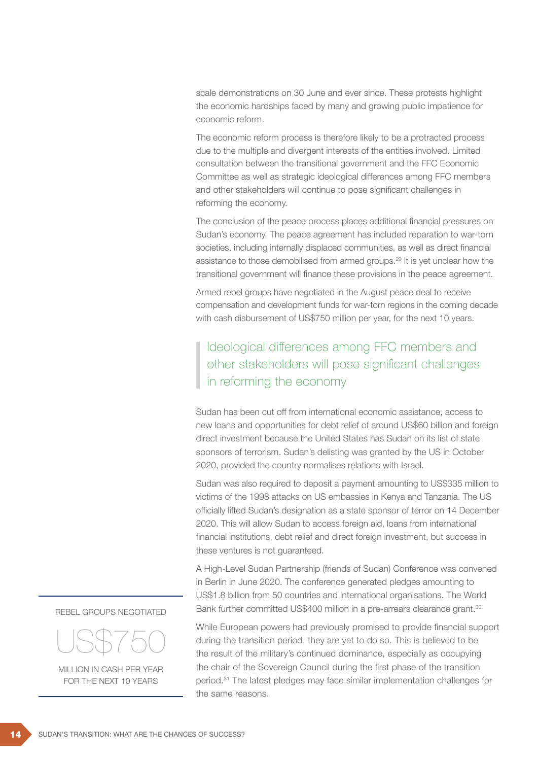scale demonstrations on 30 June and ever since. These protests highlight the economic hardships faced by many and growing public impatience for economic reform.

The economic reform process is therefore likely to be a protracted process due to the multiple and divergent interests of the entities involved. Limited consultation between the transitional government and the FFC Economic Committee as well as strategic ideological differences among FFC members and other stakeholders will continue to pose significant challenges in reforming the economy.

The conclusion of the peace process places additional financial pressures on Sudan's economy. The peace agreement has included reparation to war-torn societies, including internally displaced communities, as well as direct financial assistance to those demobilised from armed groups.29 It is yet unclear how the transitional government will finance these provisions in the peace agreement.

Armed rebel groups have negotiated in the August peace deal to receive compensation and development funds for war-torn regions in the coming decade with cash disbursement of US\$750 million per year, for the next 10 years.

### Ideological differences among FFC members and other stakeholders will pose significant challenges in reforming the economy

Sudan has been cut off from international economic assistance, access to new loans and opportunities for debt relief of around US\$60 billion and foreign direct investment because the United States has Sudan on its list of state sponsors of terrorism. Sudan's delisting was granted by the US in October 2020, provided the country normalises relations with Israel.

Sudan was also required to deposit a payment amounting to US\$335 million to victims of the 1998 attacks on US embassies in Kenya and Tanzania. The US officially lifted Sudan's designation as a state sponsor of terror on 14 December 2020. This will allow Sudan to access foreign aid, loans from international financial institutions, debt relief and direct foreign investment, but success in these ventures is not guaranteed.

A High-Level Sudan Partnership (friends of Sudan) Conference was convened in Berlin in June 2020. The conference generated pledges amounting to US\$1.8 billion from 50 countries and international organisations. The World Bank further committed US\$400 million in a pre-arrears clearance grant.<sup>30</sup>

While European powers had previously promised to provide financial support during the transition period, they are yet to do so. This is believed to be the result of the military's continued dominance, especially as occupying the chair of the Sovereign Council during the first phase of the transition period.31 The latest pledges may face similar implementation challenges for the same reasons.

REBEL GROUPS NEGOTIATED

US\$750

MILLION IN CASH PER YEAR FOR THE NEXT 10 YEARS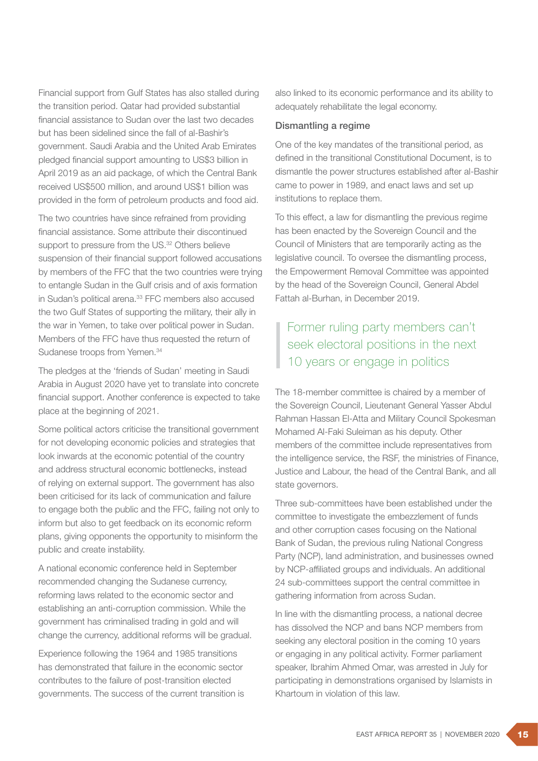Financial support from Gulf States has also stalled during the transition period. Qatar had provided substantial financial assistance to Sudan over the last two decades but has been sidelined since the fall of al-Bashir's government. Saudi Arabia and the United Arab Emirates pledged financial support amounting to US\$3 billion in April 2019 as an aid package, of which the Central Bank received US\$500 million, and around US\$1 billion was provided in the form of petroleum products and food aid.

The two countries have since refrained from providing financial assistance. Some attribute their discontinued support to pressure from the US.<sup>32</sup> Others believe suspension of their financial support followed accusations by members of the FFC that the two countries were trying to entangle Sudan in the Gulf crisis and of axis formation in Sudan's political arena.<sup>33</sup> FFC members also accused the two Gulf States of supporting the military, their ally in the war in Yemen, to take over political power in Sudan. Members of the FFC have thus requested the return of Sudanese troops from Yemen.<sup>34</sup>

The pledges at the 'friends of Sudan' meeting in Saudi Arabia in August 2020 have yet to translate into concrete financial support. Another conference is expected to take place at the beginning of 2021.

Some political actors criticise the transitional government for not developing economic policies and strategies that look inwards at the economic potential of the country and address structural economic bottlenecks, instead of relying on external support. The government has also been criticised for its lack of communication and failure to engage both the public and the FFC, failing not only to inform but also to get feedback on its economic reform plans, giving opponents the opportunity to misinform the public and create instability.

A national economic conference held in September recommended changing the Sudanese currency, reforming laws related to the economic sector and establishing an anti-corruption commission. While the government has criminalised trading in gold and will change the currency, additional reforms will be gradual.

Experience following the 1964 and 1985 transitions has demonstrated that failure in the economic sector contributes to the failure of post-transition elected governments. The success of the current transition is also linked to its economic performance and its ability to adequately rehabilitate the legal economy.

#### Dismantling a regime

One of the key mandates of the transitional period, as defined in the transitional Constitutional Document, is to dismantle the power structures established after al-Bashir came to power in 1989, and enact laws and set up institutions to replace them.

To this effect, a law for dismantling the previous regime has been enacted by the Sovereign Council and the Council of Ministers that are temporarily acting as the legislative council. To oversee the dismantling process, the Empowerment Removal Committee was appointed by the head of the Sovereign Council, General Abdel Fattah al-Burhan, in December 2019.

### Former ruling party members can't seek electoral positions in the next 10 years or engage in politics

The 18-member committee is chaired by a member of the Sovereign Council, Lieutenant General Yasser Abdul Rahman Hassan El-Atta and Military Council Spokesman Mohamed Al-Faki Suleiman as his deputy. Other members of the committee include representatives from the intelligence service, the RSF, the ministries of Finance, Justice and Labour, the head of the Central Bank, and all state governors.

Three sub-committees have been established under the committee to investigate the embezzlement of funds and other corruption cases focusing on the National Bank of Sudan, the previous ruling National Congress Party (NCP), land administration, and businesses owned by NCP-affiliated groups and individuals. An additional 24 sub-committees support the central committee in gathering information from across Sudan.

In line with the dismantling process, a national decree has dissolved the NCP and bans NCP members from seeking any electoral position in the coming 10 years or engaging in any political activity. Former parliament speaker, Ibrahim Ahmed Omar, was arrested in July for participating in demonstrations organised by Islamists in Khartoum in violation of this law.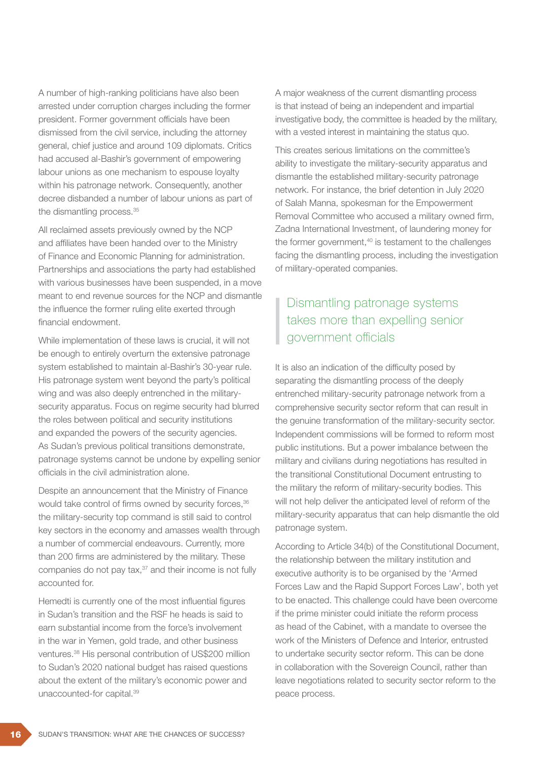A number of high-ranking politicians have also been arrested under corruption charges including the former president. Former government officials have been dismissed from the civil service, including the attorney general, chief justice and around 109 diplomats. Critics had accused al-Bashir's government of empowering labour unions as one mechanism to espouse loyalty within his patronage network. Consequently, another decree disbanded a number of labour unions as part of the dismantling process.<sup>35</sup>

All reclaimed assets previously owned by the NCP and affiliates have been handed over to the Ministry of Finance and Economic Planning for administration. Partnerships and associations the party had established with various businesses have been suspended, in a move meant to end revenue sources for the NCP and dismantle the influence the former ruling elite exerted through financial endowment.

While implementation of these laws is crucial, it will not be enough to entirely overturn the extensive patronage system established to maintain al-Bashir's 30-year rule. His patronage system went beyond the party's political wing and was also deeply entrenched in the militarysecurity apparatus. Focus on regime security had blurred the roles between political and security institutions and expanded the powers of the security agencies. As Sudan's previous political transitions demonstrate, patronage systems cannot be undone by expelling senior officials in the civil administration alone.

Despite an announcement that the Ministry of Finance would take control of firms owned by security forces.<sup>36</sup> the military-security top command is still said to control key sectors in the economy and amasses wealth through a number of commercial endeavours. Currently, more than 200 firms are administered by the military. These companies do not pay tax,<sup>37</sup> and their income is not fully accounted for.

Hemedti is currently one of the most influential figures in Sudan's transition and the RSF he heads is said to earn substantial income from the force's involvement in the war in Yemen, gold trade, and other business ventures.38 His personal contribution of US\$200 million to Sudan's 2020 national budget has raised questions about the extent of the military's economic power and unaccounted-for capital.39

A major weakness of the current dismantling process is that instead of being an independent and impartial investigative body, the committee is headed by the military, with a vested interest in maintaining the status quo.

This creates serious limitations on the committee's ability to investigate the military-security apparatus and dismantle the established military-security patronage network. For instance, the brief detention in July 2020 of Salah Manna, spokesman for the Empowerment Removal Committee who accused a military owned firm, Zadna International Investment, of laundering money for the former government,<sup>40</sup> is testament to the challenges facing the dismantling process, including the investigation of military-operated companies.

# Dismantling patronage systems takes more than expelling senior government officials

It is also an indication of the difficulty posed by separating the dismantling process of the deeply entrenched military-security patronage network from a comprehensive security sector reform that can result in the genuine transformation of the military-security sector. Independent commissions will be formed to reform most public institutions. But a power imbalance between the military and civilians during negotiations has resulted in the transitional Constitutional Document entrusting to the military the reform of military-security bodies. This will not help deliver the anticipated level of reform of the military-security apparatus that can help dismantle the old patronage system.

According to Article 34(b) of the Constitutional Document, the relationship between the military institution and executive authority is to be organised by the 'Armed Forces Law and the Rapid Support Forces Law', both yet to be enacted. This challenge could have been overcome if the prime minister could initiate the reform process as head of the Cabinet, with a mandate to oversee the work of the Ministers of Defence and Interior, entrusted to undertake security sector reform. This can be done in collaboration with the Sovereign Council, rather than leave negotiations related to security sector reform to the peace process.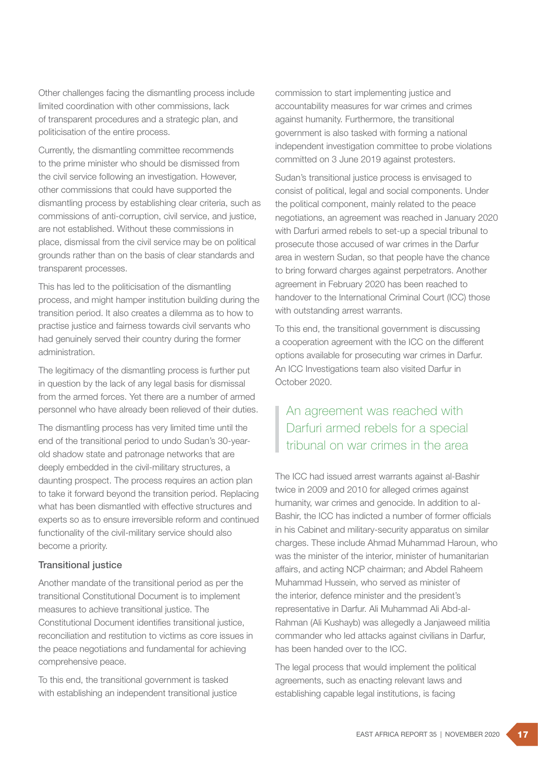Other challenges facing the dismantling process include limited coordination with other commissions, lack of transparent procedures and a strategic plan, and politicisation of the entire process.

Currently, the dismantling committee recommends to the prime minister who should be dismissed from the civil service following an investigation. However, other commissions that could have supported the dismantling process by establishing clear criteria, such as commissions of anti-corruption, civil service, and justice, are not established. Without these commissions in place, dismissal from the civil service may be on political grounds rather than on the basis of clear standards and transparent processes.

This has led to the politicisation of the dismantling process, and might hamper institution building during the transition period. It also creates a dilemma as to how to practise justice and fairness towards civil servants who had genuinely served their country during the former administration.

The legitimacy of the dismantling process is further put in question by the lack of any legal basis for dismissal from the armed forces. Yet there are a number of armed personnel who have already been relieved of their duties.

The dismantling process has very limited time until the end of the transitional period to undo Sudan's 30-yearold shadow state and patronage networks that are deeply embedded in the civil-military structures, a daunting prospect. The process requires an action plan to take it forward beyond the transition period. Replacing what has been dismantled with effective structures and experts so as to ensure irreversible reform and continued functionality of the civil-military service should also become a priority.

#### Transitional justice

Another mandate of the transitional period as per the transitional Constitutional Document is to implement measures to achieve transitional justice. The Constitutional Document identifies transitional justice, reconciliation and restitution to victims as core issues in the peace negotiations and fundamental for achieving comprehensive peace.

To this end, the transitional government is tasked with establishing an independent transitional justice commission to start implementing justice and accountability measures for war crimes and crimes against humanity. Furthermore, the transitional government is also tasked with forming a national independent investigation committee to probe violations committed on 3 June 2019 against protesters.

Sudan's transitional justice process is envisaged to consist of political, legal and social components. Under the political component, mainly related to the peace negotiations, an agreement was reached in January 2020 with Darfuri armed rebels to set-up a special tribunal to prosecute those accused of war crimes in the Darfur area in western Sudan, so that people have the chance to bring forward charges against perpetrators. Another agreement in February 2020 has been reached to handover to the International Criminal Court (ICC) those with outstanding arrest warrants.

To this end, the transitional government is discussing a cooperation agreement with the ICC on the different options available for prosecuting war crimes in Darfur. An ICC Investigations team also visited Darfur in October 2020.

### An agreement was reached with Darfuri armed rebels for a special tribunal on war crimes in the area

The ICC had issued arrest warrants against al-Bashir twice in 2009 and 2010 for alleged crimes against humanity, war crimes and genocide. In addition to al-Bashir, the ICC has indicted a number of former officials in his Cabinet and military-security apparatus on similar charges. These include Ahmad Muhammad Haroun, who was the minister of the interior, minister of humanitarian affairs, and acting NCP chairman; and Abdel Raheem Muhammad Hussein, who served as minister of the interior, defence minister and the president's representative in Darfur. Ali Muhammad Ali Abd-al-Rahman (Ali Kushayb) was allegedly a Janjaweed militia commander who led attacks against civilians in Darfur, has been handed over to the ICC.

The legal process that would implement the political agreements, such as enacting relevant laws and establishing capable legal institutions, is facing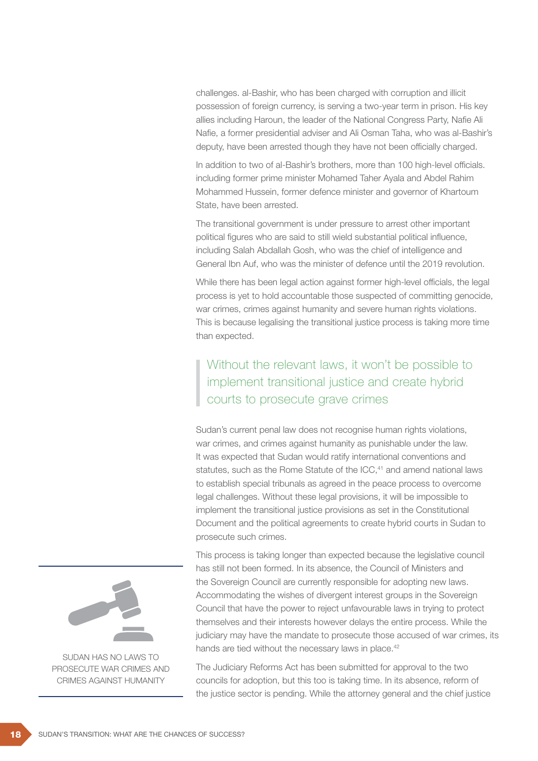challenges. al-Bashir, who has been charged with corruption and illicit possession of foreign currency, is serving a two-year term in prison. His key allies including Haroun, the leader of the National Congress Party, Nafie Ali Nafie, a former presidential adviser and Ali Osman Taha, who was al-Bashir's deputy, have been arrested though they have not been officially charged.

In addition to two of al-Bashir's brothers, more than 100 high-level officials. including former prime minister Mohamed Taher Ayala and Abdel Rahim Mohammed Hussein, former defence minister and governor of Khartoum State, have been arrested.

The transitional government is under pressure to arrest other important political figures who are said to still wield substantial political influence, including Salah Abdallah Gosh, who was the chief of intelligence and General Ibn Auf, who was the minister of defence until the 2019 revolution.

While there has been legal action against former high-level officials, the legal process is yet to hold accountable those suspected of committing genocide, war crimes, crimes against humanity and severe human rights violations. This is because legalising the transitional justice process is taking more time than expected.

### Without the relevant laws, it won't be possible to implement transitional justice and create hybrid courts to prosecute grave crimes

Sudan's current penal law does not recognise human rights violations, war crimes, and crimes against humanity as punishable under the law. It was expected that Sudan would ratify international conventions and statutes, such as the Rome Statute of the ICC,<sup>41</sup> and amend national laws to establish special tribunals as agreed in the peace process to overcome legal challenges. Without these legal provisions, it will be impossible to implement the transitional justice provisions as set in the Constitutional Document and the political agreements to create hybrid courts in Sudan to prosecute such crimes.

This process is taking longer than expected because the legislative council has still not been formed. In its absence, the Council of Ministers and the Sovereign Council are currently responsible for adopting new laws. Accommodating the wishes of divergent interest groups in the Sovereign Council that have the power to reject unfavourable laws in trying to protect themselves and their interests however delays the entire process. While the judiciary may have the mandate to prosecute those accused of war crimes, its hands are tied without the necessary laws in place.<sup>42</sup>

The Judiciary Reforms Act has been submitted for approval to the two councils for adoption, but this too is taking time. In its absence, reform of the justice sector is pending. While the attorney general and the chief justice



SUDAN HAS NO LAWS TO PROSECUTE WAR CRIMES AND CRIMES AGAINST HUMANITY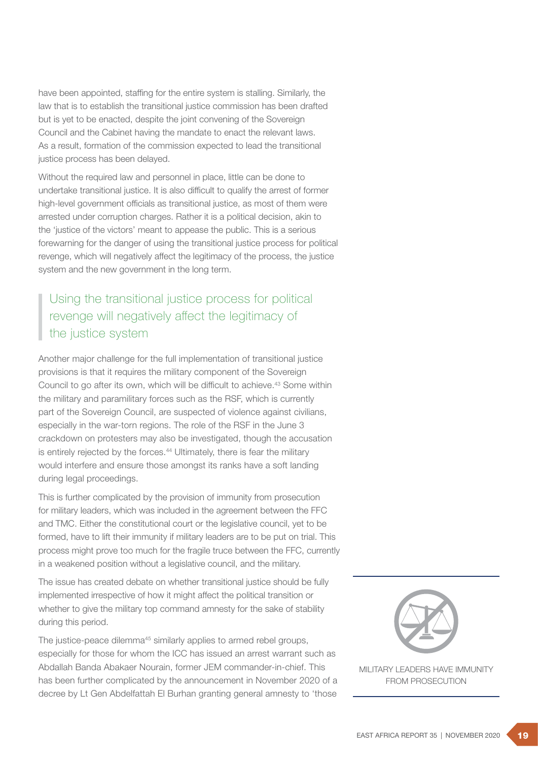have been appointed, staffing for the entire system is stalling. Similarly, the law that is to establish the transitional justice commission has been drafted but is yet to be enacted, despite the joint convening of the Sovereign Council and the Cabinet having the mandate to enact the relevant laws. As a result, formation of the commission expected to lead the transitional justice process has been delayed.

Without the required law and personnel in place, little can be done to undertake transitional justice. It is also difficult to qualify the arrest of former high-level government officials as transitional justice, as most of them were arrested under corruption charges. Rather it is a political decision, akin to the 'justice of the victors' meant to appease the public. This is a serious forewarning for the danger of using the transitional justice process for political revenge, which will negatively affect the legitimacy of the process, the justice system and the new government in the long term.

### Using the transitional justice process for political revenge will negatively affect the legitimacy of the justice system

Another major challenge for the full implementation of transitional justice provisions is that it requires the military component of the Sovereign Council to go after its own, which will be difficult to achieve.43 Some within the military and paramilitary forces such as the RSF, which is currently part of the Sovereign Council, are suspected of violence against civilians, especially in the war-torn regions. The role of the RSF in the June 3 crackdown on protesters may also be investigated, though the accusation is entirely rejected by the forces.<sup>44</sup> Ultimately, there is fear the military would interfere and ensure those amongst its ranks have a soft landing during legal proceedings.

This is further complicated by the provision of immunity from prosecution for military leaders, which was included in the agreement between the FFC and TMC. Either the constitutional court or the legislative council, yet to be formed, have to lift their immunity if military leaders are to be put on trial. This process might prove too much for the fragile truce between the FFC, currently in a weakened position without a legislative council, and the military.

The issue has created debate on whether transitional justice should be fully implemented irrespective of how it might affect the political transition or whether to give the military top command amnesty for the sake of stability during this period.

The justice-peace dilemma<sup>45</sup> similarly applies to armed rebel groups, especially for those for whom the ICC has issued an arrest warrant such as Abdallah Banda Abakaer Nourain, former JEM commander-in-chief. This has been further complicated by the announcement in November 2020 of a decree by Lt Gen Abdelfattah El Burhan granting general amnesty to 'those



MILITARY LEADERS HAVE IMMUNITY FROM PROSECUTION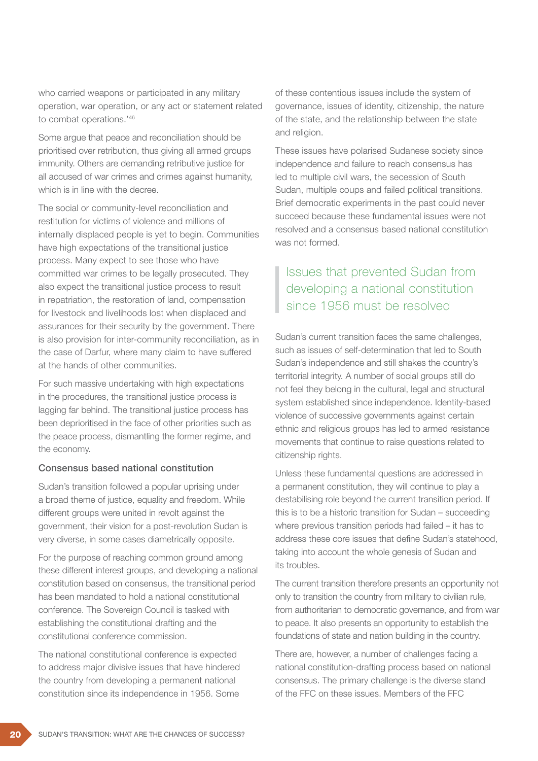who carried weapons or participated in any military operation, war operation, or any act or statement related to combat operations.'46

Some argue that peace and reconciliation should be prioritised over retribution, thus giving all armed groups immunity. Others are demanding retributive justice for all accused of war crimes and crimes against humanity, which is in line with the decree.

The social or community-level reconciliation and restitution for victims of violence and millions of internally displaced people is yet to begin. Communities have high expectations of the transitional justice process. Many expect to see those who have committed war crimes to be legally prosecuted. They also expect the transitional justice process to result in repatriation, the restoration of land, compensation for livestock and livelihoods lost when displaced and assurances for their security by the government. There is also provision for inter-community reconciliation, as in the case of Darfur, where many claim to have suffered at the hands of other communities.

For such massive undertaking with high expectations in the procedures, the transitional justice process is lagging far behind. The transitional justice process has been deprioritised in the face of other priorities such as the peace process, dismantling the former regime, and the economy.

#### Consensus based national constitution

Sudan's transition followed a popular uprising under a broad theme of justice, equality and freedom. While different groups were united in revolt against the government, their vision for a post-revolution Sudan is very diverse, in some cases diametrically opposite.

For the purpose of reaching common ground among these different interest groups, and developing a national constitution based on consensus, the transitional period has been mandated to hold a national constitutional conference. The Sovereign Council is tasked with establishing the constitutional drafting and the constitutional conference commission.

The national constitutional conference is expected to address major divisive issues that have hindered the country from developing a permanent national constitution since its independence in 1956. Some

of these contentious issues include the system of governance, issues of identity, citizenship, the nature of the state, and the relationship between the state and religion.

These issues have polarised Sudanese society since independence and failure to reach consensus has led to multiple civil wars, the secession of South Sudan, multiple coups and failed political transitions. Brief democratic experiments in the past could never succeed because these fundamental issues were not resolved and a consensus based national constitution was not formed.

## Issues that prevented Sudan from developing a national constitution since 1956 must be resolved

Sudan's current transition faces the same challenges, such as issues of self-determination that led to South Sudan's independence and still shakes the country's territorial integrity. A number of social groups still do not feel they belong in the cultural, legal and structural system established since independence. Identity-based violence of successive governments against certain ethnic and religious groups has led to armed resistance movements that continue to raise questions related to citizenship rights.

Unless these fundamental questions are addressed in a permanent constitution, they will continue to play a destabilising role beyond the current transition period. If this is to be a historic transition for Sudan – succeeding where previous transition periods had failed – it has to address these core issues that define Sudan's statehood, taking into account the whole genesis of Sudan and its troubles.

The current transition therefore presents an opportunity not only to transition the country from military to civilian rule, from authoritarian to democratic governance, and from war to peace. It also presents an opportunity to establish the foundations of state and nation building in the country.

There are, however, a number of challenges facing a national constitution-drafting process based on national consensus. The primary challenge is the diverse stand of the FFC on these issues. Members of the FFC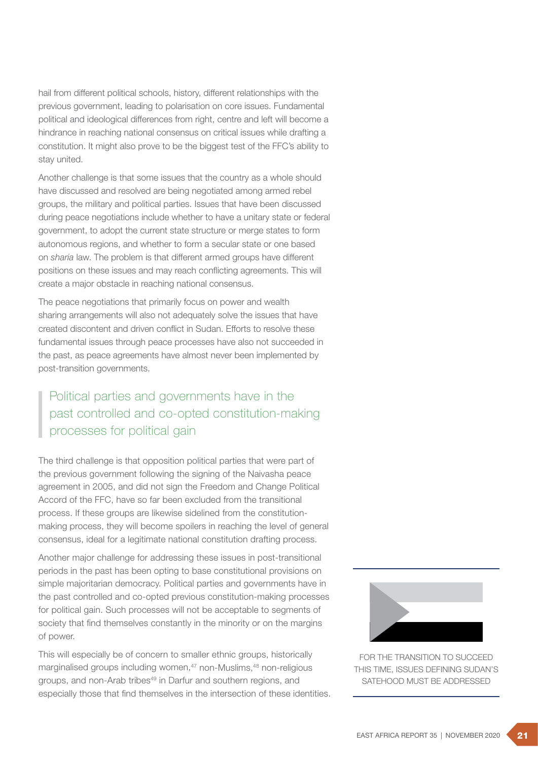hail from different political schools, history, different relationships with the previous government, leading to polarisation on core issues. Fundamental political and ideological differences from right, centre and left will become a hindrance in reaching national consensus on critical issues while drafting a constitution. It might also prove to be the biggest test of the FFC's ability to stay united.

Another challenge is that some issues that the country as a whole should have discussed and resolved are being negotiated among armed rebel groups, the military and political parties. Issues that have been discussed during peace negotiations include whether to have a unitary state or federal government, to adopt the current state structure or merge states to form autonomous regions, and whether to form a secular state or one based on *sharia* law. The problem is that different armed groups have different positions on these issues and may reach conflicting agreements. This will create a major obstacle in reaching national consensus.

The peace negotiations that primarily focus on power and wealth sharing arrangements will also not adequately solve the issues that have created discontent and driven conflict in Sudan. Efforts to resolve these fundamental issues through peace processes have also not succeeded in the past, as peace agreements have almost never been implemented by post-transition governments.

## Political parties and governments have in the past controlled and co-opted constitution-making processes for political gain

The third challenge is that opposition political parties that were part of the previous government following the signing of the Naivasha peace agreement in 2005, and did not sign the Freedom and Change Political Accord of the FFC, have so far been excluded from the transitional process. If these groups are likewise sidelined from the constitutionmaking process, they will become spoilers in reaching the level of general consensus, ideal for a legitimate national constitution drafting process.

Another major challenge for addressing these issues in post-transitional periods in the past has been opting to base constitutional provisions on simple majoritarian democracy. Political parties and governments have in the past controlled and co-opted previous constitution-making processes for political gain. Such processes will not be acceptable to segments of society that find themselves constantly in the minority or on the margins of power.

This will especially be of concern to smaller ethnic groups, historically marginalised groups including women,<sup>47</sup> non-Muslims,<sup>48</sup> non-religious groups, and non-Arab tribes<sup>49</sup> in Darfur and southern regions, and especially those that find themselves in the intersection of these identities.



FOR THE TRANSITION TO SUCCEED THIS TIME, ISSUES DEFINING SUDAN'S SATEHOOD MUST BE ADDRESSED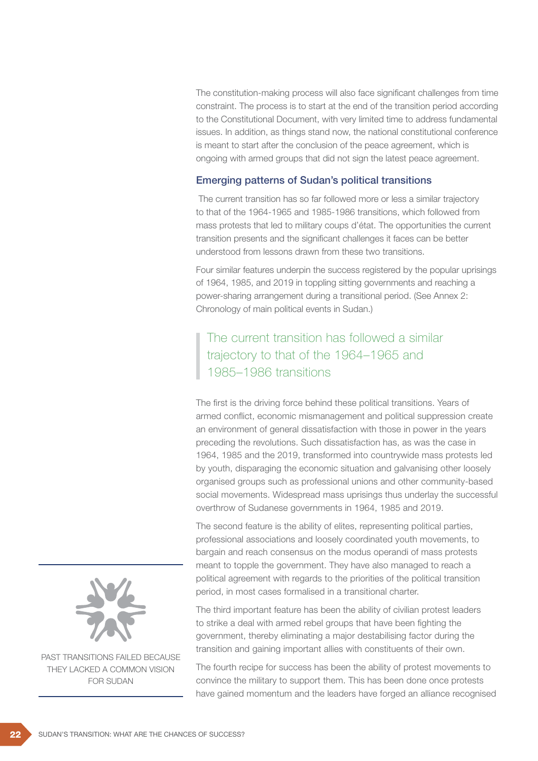The constitution-making process will also face significant challenges from time constraint. The process is to start at the end of the transition period according to the Constitutional Document, with very limited time to address fundamental issues. In addition, as things stand now, the national constitutional conference is meant to start after the conclusion of the peace agreement, which is ongoing with armed groups that did not sign the latest peace agreement.

### Emerging patterns of Sudan's political transitions

 The current transition has so far followed more or less a similar trajectory to that of the 1964-1965 and 1985-1986 transitions, which followed from mass protests that led to military coups d'état. The opportunities the current transition presents and the significant challenges it faces can be better understood from lessons drawn from these two transitions.

Four similar features underpin the success registered by the popular uprisings of 1964, 1985, and 2019 in toppling sitting governments and reaching a power-sharing arrangement during a transitional period. (See Annex 2: Chronology of main political events in Sudan.)

### The current transition has followed a similar trajectory to that of the 1964–1965 and 1985–1986 transitions

The first is the driving force behind these political transitions. Years of armed conflict, economic mismanagement and political suppression create an environment of general dissatisfaction with those in power in the years preceding the revolutions. Such dissatisfaction has, as was the case in 1964, 1985 and the 2019, transformed into countrywide mass protests led by youth, disparaging the economic situation and galvanising other loosely organised groups such as professional unions and other community-based social movements. Widespread mass uprisings thus underlay the successful overthrow of Sudanese governments in 1964, 1985 and 2019.

The second feature is the ability of elites, representing political parties, professional associations and loosely coordinated youth movements, to bargain and reach consensus on the modus operandi of mass protests meant to topple the government. They have also managed to reach a political agreement with regards to the priorities of the political transition period, in most cases formalised in a transitional charter.

The third important feature has been the ability of civilian protest leaders to strike a deal with armed rebel groups that have been fighting the government, thereby eliminating a major destabilising factor during the transition and gaining important allies with constituents of their own.

The fourth recipe for success has been the ability of protest movements to convince the military to support them. This has been done once protests have gained momentum and the leaders have forged an alliance recognised



PAST TRANSITIONS FAILED BECAUSE THEY LACKED A COMMON VISION FOR SUDAN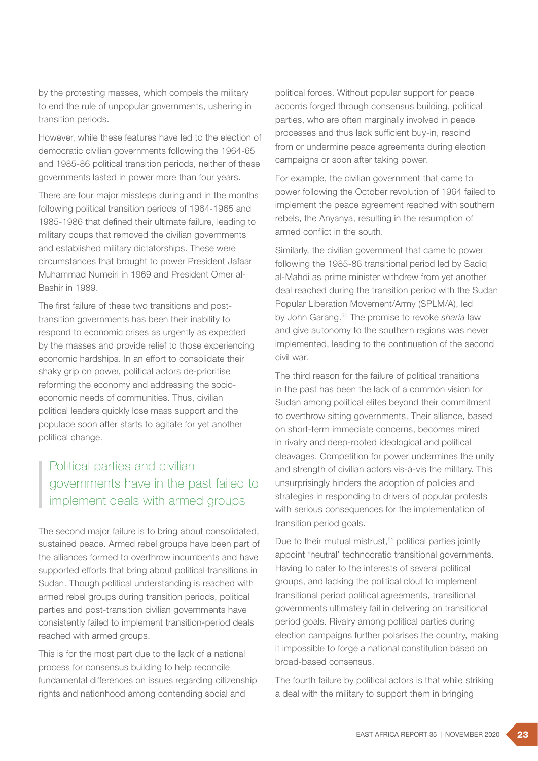by the protesting masses, which compels the military to end the rule of unpopular governments, ushering in transition periods.

However, while these features have led to the election of democratic civilian governments following the 1964-65 and 1985-86 political transition periods, neither of these governments lasted in power more than four years.

There are four major missteps during and in the months following political transition periods of 1964-1965 and 1985-1986 that defined their ultimate failure, leading to military coups that removed the civilian governments and established military dictatorships. These were circumstances that brought to power President Jafaar Muhammad Numeiri in 1969 and President Omer al-Bashir in 1989.

The first failure of these two transitions and posttransition governments has been their inability to respond to economic crises as urgently as expected by the masses and provide relief to those experiencing economic hardships. In an effort to consolidate their shaky grip on power, political actors de-prioritise reforming the economy and addressing the socioeconomic needs of communities. Thus, civilian political leaders quickly lose mass support and the populace soon after starts to agitate for yet another political change.

### Political parties and civilian governments have in the past failed to implement deals with armed groups

The second major failure is to bring about consolidated, sustained peace. Armed rebel groups have been part of the alliances formed to overthrow incumbents and have supported efforts that bring about political transitions in Sudan. Though political understanding is reached with armed rebel groups during transition periods, political parties and post-transition civilian governments have consistently failed to implement transition-period deals reached with armed groups.

This is for the most part due to the lack of a national process for consensus building to help reconcile fundamental differences on issues regarding citizenship rights and nationhood among contending social and

political forces. Without popular support for peace accords forged through consensus building, political parties, who are often marginally involved in peace processes and thus lack sufficient buy-in, rescind from or undermine peace agreements during election campaigns or soon after taking power.

For example, the civilian government that came to power following the October revolution of 1964 failed to implement the peace agreement reached with southern rebels, the Anyanya, resulting in the resumption of armed conflict in the south.

Similarly, the civilian government that came to power following the 1985-86 transitional period led by Sadiq al-Mahdi as prime minister withdrew from yet another deal reached during the transition period with the Sudan Popular Liberation Movement/Army (SPLM/A), led by John Garang.50 The promise to revoke *sharia* law and give autonomy to the southern regions was never implemented, leading to the continuation of the second civil war.

The third reason for the failure of political transitions in the past has been the lack of a common vision for Sudan among political elites beyond their commitment to overthrow sitting governments. Their alliance, based on short-term immediate concerns, becomes mired in rivalry and deep-rooted ideological and political cleavages. Competition for power undermines the unity and strength of civilian actors vis-à-vis the military. This unsurprisingly hinders the adoption of policies and strategies in responding to drivers of popular protests with serious consequences for the implementation of transition period goals.

Due to their mutual mistrust,<sup>51</sup> political parties jointly appoint 'neutral' technocratic transitional governments. Having to cater to the interests of several political groups, and lacking the political clout to implement transitional period political agreements, transitional governments ultimately fail in delivering on transitional period goals. Rivalry among political parties during election campaigns further polarises the country, making it impossible to forge a national constitution based on broad-based consensus.

The fourth failure by political actors is that while striking a deal with the military to support them in bringing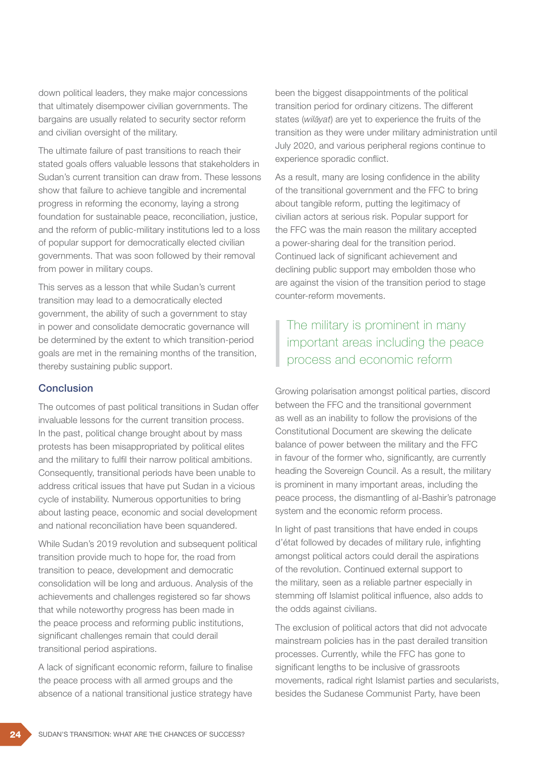down political leaders, they make major concessions that ultimately disempower civilian governments. The bargains are usually related to security sector reform and civilian oversight of the military.

The ultimate failure of past transitions to reach their stated goals offers valuable lessons that stakeholders in Sudan's current transition can draw from. These lessons show that failure to achieve tangible and incremental progress in reforming the economy, laying a strong foundation for sustainable peace, reconciliation, justice, and the reform of public-military institutions led to a loss of popular support for democratically elected civilian governments. That was soon followed by their removal from power in military coups.

This serves as a lesson that while Sudan's current transition may lead to a democratically elected government, the ability of such a government to stay in power and consolidate democratic governance will be determined by the extent to which transition-period goals are met in the remaining months of the transition, thereby sustaining public support.

#### **Conclusion**

The outcomes of past political transitions in Sudan offer invaluable lessons for the current transition process. In the past, political change brought about by mass protests has been misappropriated by political elites and the military to fulfil their narrow political ambitions. Consequently, transitional periods have been unable to address critical issues that have put Sudan in a vicious cycle of instability. Numerous opportunities to bring about lasting peace, economic and social development and national reconciliation have been squandered.

While Sudan's 2019 revolution and subsequent political transition provide much to hope for, the road from transition to peace, development and democratic consolidation will be long and arduous. Analysis of the achievements and challenges registered so far shows that while noteworthy progress has been made in the peace process and reforming public institutions, significant challenges remain that could derail transitional period aspirations.

A lack of significant economic reform, failure to finalise the peace process with all armed groups and the absence of a national transitional justice strategy have been the biggest disappointments of the political transition period for ordinary citizens. The different states (*wilavat*) are yet to experience the fruits of the transition as they were under military administration until July 2020, and various peripheral regions continue to experience sporadic conflict.

As a result, many are losing confidence in the ability of the transitional government and the FFC to bring about tangible reform, putting the legitimacy of civilian actors at serious risk. Popular support for the FFC was the main reason the military accepted a power-sharing deal for the transition period. Continued lack of significant achievement and declining public support may embolden those who are against the vision of the transition period to stage counter-reform movements.

### The military is prominent in many important areas including the peace process and economic reform

Growing polarisation amongst political parties, discord between the FFC and the transitional government as well as an inability to follow the provisions of the Constitutional Document are skewing the delicate balance of power between the military and the FFC in favour of the former who, significantly, are currently heading the Sovereign Council. As a result, the military is prominent in many important areas, including the peace process, the dismantling of al-Bashir's patronage system and the economic reform process.

In light of past transitions that have ended in coups d'état followed by decades of military rule, infighting amongst political actors could derail the aspirations of the revolution. Continued external support to the military, seen as a reliable partner especially in stemming off Islamist political influence, also adds to the odds against civilians.

The exclusion of political actors that did not advocate mainstream policies has in the past derailed transition processes. Currently, while the FFC has gone to significant lengths to be inclusive of grassroots movements, radical right Islamist parties and secularists, besides the Sudanese Communist Party, have been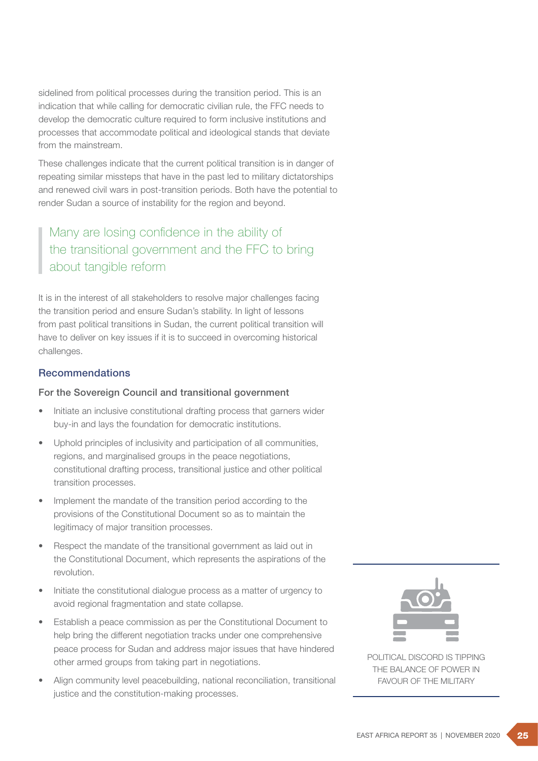sidelined from political processes during the transition period. This is an indication that while calling for democratic civilian rule, the FFC needs to develop the democratic culture required to form inclusive institutions and processes that accommodate political and ideological stands that deviate from the mainstream.

These challenges indicate that the current political transition is in danger of repeating similar missteps that have in the past led to military dictatorships and renewed civil wars in post-transition periods. Both have the potential to render Sudan a source of instability for the region and beyond.

# Many are losing confidence in the ability of the transitional government and the FFC to bring about tangible reform

It is in the interest of all stakeholders to resolve major challenges facing the transition period and ensure Sudan's stability. In light of lessons from past political transitions in Sudan, the current political transition will have to deliver on key issues if it is to succeed in overcoming historical challenges.

### Recommendations

### For the Sovereign Council and transitional government

- Initiate an inclusive constitutional drafting process that garners wider buy-in and lays the foundation for democratic institutions.
- Uphold principles of inclusivity and participation of all communities, regions, and marginalised groups in the peace negotiations, constitutional drafting process, transitional justice and other political transition processes.
- Implement the mandate of the transition period according to the provisions of the Constitutional Document so as to maintain the legitimacy of major transition processes.
- Respect the mandate of the transitional government as laid out in the Constitutional Document, which represents the aspirations of the revolution.
- Initiate the constitutional dialogue process as a matter of urgency to avoid regional fragmentation and state collapse.
- Establish a peace commission as per the Constitutional Document to help bring the different negotiation tracks under one comprehensive peace process for Sudan and address major issues that have hindered other armed groups from taking part in negotiations.
- Align community level peacebuilding, national reconciliation, transitional justice and the constitution-making processes.



POLITICAL DISCORD IS TIPPING THE BALANCE OF POWER IN FAVOUR OF THE MILITARY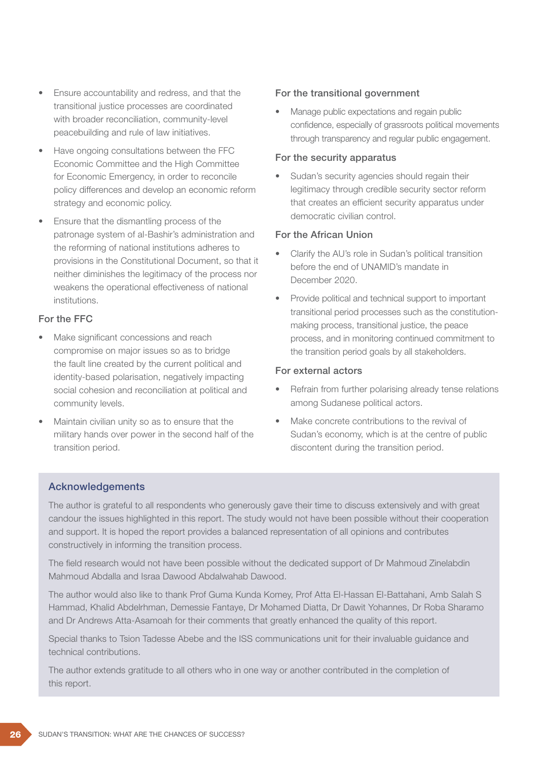- Ensure accountability and redress, and that the transitional justice processes are coordinated with broader reconciliation, community-level peacebuilding and rule of law initiatives.
- Have ongoing consultations between the FFC Economic Committee and the High Committee for Economic Emergency, in order to reconcile policy differences and develop an economic reform strategy and economic policy.
- Ensure that the dismantling process of the patronage system of al-Bashir's administration and the reforming of national institutions adheres to provisions in the Constitutional Document, so that it neither diminishes the legitimacy of the process nor weakens the operational effectiveness of national institutions.

#### For the FFC

- Make significant concessions and reach compromise on major issues so as to bridge the fault line created by the current political and identity-based polarisation, negatively impacting social cohesion and reconciliation at political and community levels.
- Maintain civilian unity so as to ensure that the military hands over power in the second half of the transition period.

### For the transitional government

• Manage public expectations and regain public confidence, especially of grassroots political movements through transparency and regular public engagement.

#### For the security apparatus

• Sudan's security agencies should regain their legitimacy through credible security sector reform that creates an efficient security apparatus under democratic civilian control.

#### For the African Union

- Clarify the AU's role in Sudan's political transition before the end of UNAMID's mandate in December 2020.
- Provide political and technical support to important transitional period processes such as the constitutionmaking process, transitional justice, the peace process, and in monitoring continued commitment to the transition period goals by all stakeholders.

#### For external actors

- Refrain from further polarising already tense relations among Sudanese political actors.
- Make concrete contributions to the revival of Sudan's economy, which is at the centre of public discontent during the transition period.

### Acknowledgements

The author is grateful to all respondents who generously gave their time to discuss extensively and with great candour the issues highlighted in this report. The study would not have been possible without their cooperation and support. It is hoped the report provides a balanced representation of all opinions and contributes constructively in informing the transition process.

The field research would not have been possible without the dedicated support of Dr Mahmoud Zinelabdin Mahmoud Abdalla and Israa Dawood Abdalwahab Dawood.

The author would also like to thank Prof Guma Kunda Komey, Prof Atta El-Hassan El-Battahani, Amb Salah S Hammad, Khalid Abdelrhman, Demessie Fantaye, Dr Mohamed Diatta, Dr Dawit Yohannes, Dr Roba Sharamo and Dr Andrews Atta-Asamoah for their comments that greatly enhanced the quality of this report.

Special thanks to Tsion Tadesse Abebe and the ISS communications unit for their invaluable guidance and technical contributions.

The author extends gratitude to all others who in one way or another contributed in the completion of this report.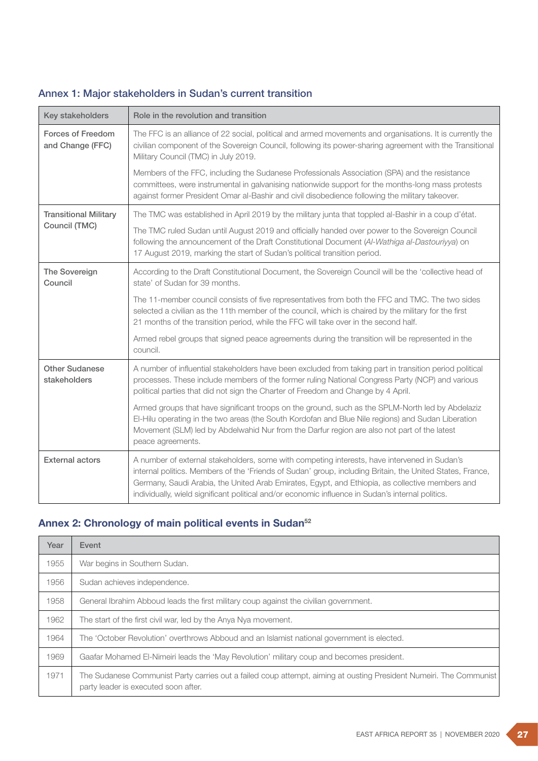|  |  |  | Annex 1: Major stakeholders in Sudan's current transition |  |
|--|--|--|-----------------------------------------------------------|--|
|  |  |  |                                                           |  |

| Key stakeholders                      | Role in the revolution and transition                                                                                                                                                                                                                                                                                                                                                                             |  |  |  |
|---------------------------------------|-------------------------------------------------------------------------------------------------------------------------------------------------------------------------------------------------------------------------------------------------------------------------------------------------------------------------------------------------------------------------------------------------------------------|--|--|--|
| Forces of Freedom<br>and Change (FFC) | The FFC is an alliance of 22 social, political and armed movements and organisations. It is currently the<br>civilian component of the Sovereign Council, following its power-sharing agreement with the Transitional<br>Military Council (TMC) in July 2019.                                                                                                                                                     |  |  |  |
|                                       | Members of the FFC, including the Sudanese Professionals Association (SPA) and the resistance<br>committees, were instrumental in galvanising nationwide support for the months-long mass protests<br>against former President Omar al-Bashir and civil disobedience following the military takeover.                                                                                                             |  |  |  |
| <b>Transitional Military</b>          | The TMC was established in April 2019 by the military junta that toppled al-Bashir in a coup d'état.                                                                                                                                                                                                                                                                                                              |  |  |  |
| Council (TMC)                         | The TMC ruled Sudan until August 2019 and officially handed over power to the Sovereign Council<br>following the announcement of the Draft Constitutional Document (Al-Wathiga al-Dastouriyya) on<br>17 August 2019, marking the start of Sudan's political transition period.                                                                                                                                    |  |  |  |
| The Sovereign<br>Council              | According to the Draft Constitutional Document, the Sovereign Council will be the 'collective head of<br>state' of Sudan for 39 months.                                                                                                                                                                                                                                                                           |  |  |  |
|                                       | The 11-member council consists of five representatives from both the FFC and TMC. The two sides<br>selected a civilian as the 11th member of the council, which is chaired by the military for the first<br>21 months of the transition period, while the FFC will take over in the second half.                                                                                                                  |  |  |  |
|                                       | Armed rebel groups that signed peace agreements during the transition will be represented in the<br>council.                                                                                                                                                                                                                                                                                                      |  |  |  |
| <b>Other Sudanese</b><br>stakeholders | A number of influential stakeholders have been excluded from taking part in transition period political<br>processes. These include members of the former ruling National Congress Party (NCP) and various<br>political parties that did not sign the Charter of Freedom and Change by 4 April.                                                                                                                   |  |  |  |
|                                       | Armed groups that have significant troops on the ground, such as the SPLM-North led by Abdelaziz<br>El-Hilu operating in the two areas (the South Kordofan and Blue Nile regions) and Sudan Liberation<br>Movement (SLM) led by Abdelwahid Nur from the Darfur region are also not part of the latest<br>peace agreements.                                                                                        |  |  |  |
| <b>External actors</b>                | A number of external stakeholders, some with competing interests, have intervened in Sudan's<br>internal politics. Members of the 'Friends of Sudan' group, including Britain, the United States, France,<br>Germany, Saudi Arabia, the United Arab Emirates, Egypt, and Ethiopia, as collective members and<br>individually, wield significant political and/or economic influence in Sudan's internal politics. |  |  |  |

# Annex 2: Chronology of main political events in Sudan<sup>52</sup>

| Year | Event                                                                                                                                                      |
|------|------------------------------------------------------------------------------------------------------------------------------------------------------------|
| 1955 | War begins in Southern Sudan.                                                                                                                              |
| 1956 | Sudan achieves independence.                                                                                                                               |
| 1958 | General Ibrahim Abboud leads the first military coup against the civilian government.                                                                      |
| 1962 | The start of the first civil war, led by the Anya Nya movement.                                                                                            |
| 1964 | The 'October Revolution' overthrows Abboud and an Islamist national government is elected.                                                                 |
| 1969 | Gaafar Mohamed El-Nimeiri leads the 'May Revolution' military coup and becomes president.                                                                  |
| 1971 | The Sudanese Communist Party carries out a failed coup attempt, aiming at ousting President Numeiri. The Communist<br>party leader is executed soon after. |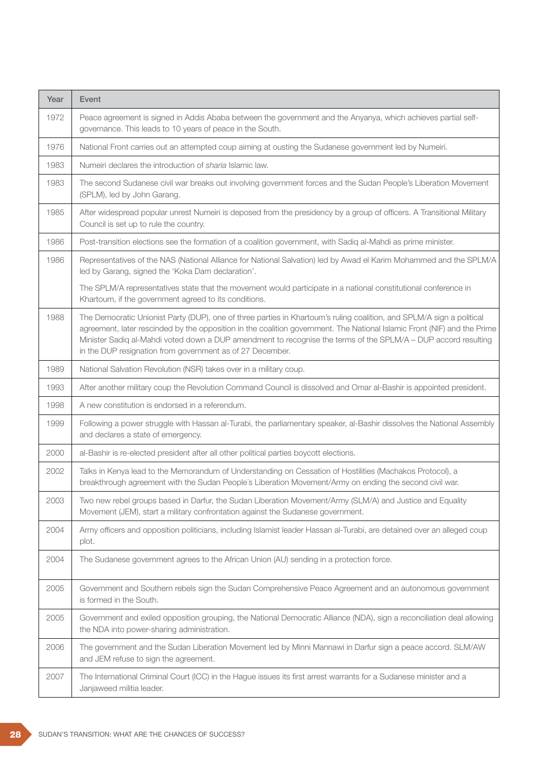| Year | Event                                                                                                                                                                                                                                                                                                                                                                                                                            |  |
|------|----------------------------------------------------------------------------------------------------------------------------------------------------------------------------------------------------------------------------------------------------------------------------------------------------------------------------------------------------------------------------------------------------------------------------------|--|
| 1972 | Peace agreement is signed in Addis Ababa between the government and the Anyanya, which achieves partial self-<br>governance. This leads to 10 years of peace in the South.                                                                                                                                                                                                                                                       |  |
| 1976 | National Front carries out an attempted coup aiming at ousting the Sudanese government led by Numeiri.                                                                                                                                                                                                                                                                                                                           |  |
| 1983 | Numeiri declares the introduction of sharia Islamic law.                                                                                                                                                                                                                                                                                                                                                                         |  |
| 1983 | The second Sudanese civil war breaks out involving government forces and the Sudan People's Liberation Movement<br>(SPLM), led by John Garang.                                                                                                                                                                                                                                                                                   |  |
| 1985 | After widespread popular unrest Numeiri is deposed from the presidency by a group of officers. A Transitional Military<br>Council is set up to rule the country.                                                                                                                                                                                                                                                                 |  |
| 1986 | Post-transition elections see the formation of a coalition government, with Sadiq al-Mahdi as prime minister.                                                                                                                                                                                                                                                                                                                    |  |
| 1986 | Representatives of the NAS (National Alliance for National Salvation) led by Awad el Karim Mohammed and the SPLM/A<br>led by Garang, signed the 'Koka Dam declaration'.                                                                                                                                                                                                                                                          |  |
|      | The SPLM/A representatives state that the movement would participate in a national constitutional conference in<br>Khartoum, if the government agreed to its conditions.                                                                                                                                                                                                                                                         |  |
| 1988 | The Democratic Unionist Party (DUP), one of three parties in Khartoum's ruling coalition, and SPLM/A sign a political<br>agreement, later rescinded by the opposition in the coalition government. The National Islamic Front (NIF) and the Prime<br>Minister Sadiq al-Mahdi voted down a DUP amendment to recognise the terms of the SPLM/A - DUP accord resulting<br>in the DUP resignation from government as of 27 December. |  |
| 1989 | National Salvation Revolution (NSR) takes over in a military coup.                                                                                                                                                                                                                                                                                                                                                               |  |
| 1993 | After another military coup the Revolution Command Council is dissolved and Omar al-Bashir is appointed president.                                                                                                                                                                                                                                                                                                               |  |
| 1998 | A new constitution is endorsed in a referendum.                                                                                                                                                                                                                                                                                                                                                                                  |  |
| 1999 | Following a power struggle with Hassan al-Turabi, the parliamentary speaker, al-Bashir dissolves the National Assembly<br>and declares a state of emergency.                                                                                                                                                                                                                                                                     |  |
| 2000 | al-Bashir is re-elected president after all other political parties boycott elections.                                                                                                                                                                                                                                                                                                                                           |  |
| 2002 | Talks in Kenya lead to the Memorandum of Understanding on Cessation of Hostilities (Machakos Protocol), a<br>breakthrough agreement with the Sudan People's Liberation Movement/Army on ending the second civil war.                                                                                                                                                                                                             |  |
| 2003 | Two new rebel groups based in Darfur, the Sudan Liberation Movement/Army (SLM/A) and Justice and Equality<br>Movement (JEM), start a military confrontation against the Sudanese government.                                                                                                                                                                                                                                     |  |
| 2004 | Army officers and opposition politicians, including Islamist leader Hassan al-Turabi, are detained over an alleged coup<br>plot.                                                                                                                                                                                                                                                                                                 |  |
| 2004 | The Sudanese government agrees to the African Union (AU) sending in a protection force.                                                                                                                                                                                                                                                                                                                                          |  |
| 2005 | Government and Southern rebels sign the Sudan Comprehensive Peace Agreement and an autonomous government<br>is formed in the South.                                                                                                                                                                                                                                                                                              |  |
| 2005 | Government and exiled opposition grouping, the National Democratic Alliance (NDA), sign a reconciliation deal allowing<br>the NDA into power-sharing administration.                                                                                                                                                                                                                                                             |  |
| 2006 | The government and the Sudan Liberation Movement led by Minni Mannawi in Darfur sign a peace accord. SLM/AW<br>and JEM refuse to sign the agreement.                                                                                                                                                                                                                                                                             |  |
| 2007 | The International Criminal Court (ICC) in the Hague issues its first arrest warrants for a Sudanese minister and a<br>Janjaweed militia leader.                                                                                                                                                                                                                                                                                  |  |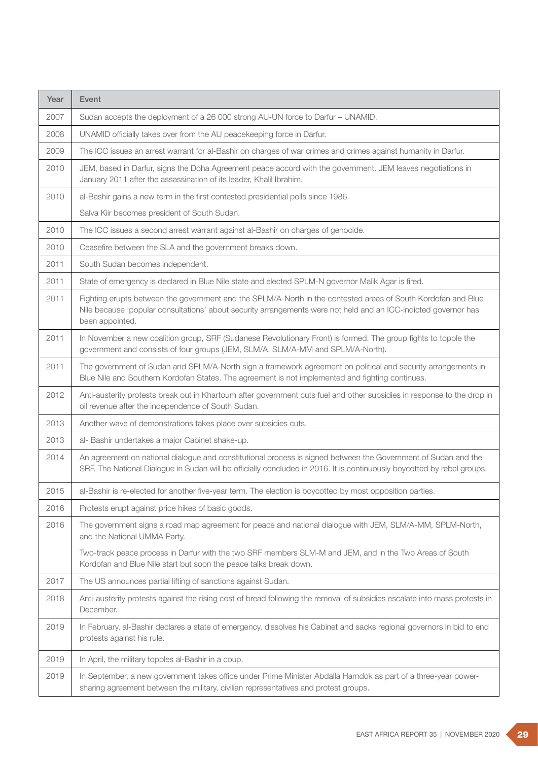| Year | Event                                                                                                                                                                                                                                               |  |  |  |
|------|-----------------------------------------------------------------------------------------------------------------------------------------------------------------------------------------------------------------------------------------------------|--|--|--|
| 2007 | Sudan accepts the deployment of a 26 000 strong AU-UN force to Darfur - UNAMID.                                                                                                                                                                     |  |  |  |
| 2008 | UNAMID officially takes over from the AU peacekeeping force in Darfur.                                                                                                                                                                              |  |  |  |
| 2009 | The ICC issues an arrest warrant for al-Bashir on charges of war crimes and crimes against humanity in Darfur.                                                                                                                                      |  |  |  |
| 2010 | JEM, based in Darfur, signs the Doha Agreement peace accord with the government. JEM leaves negotiations in<br>January 2011 after the assassination of its leader, Khalil Ibrahim.                                                                  |  |  |  |
| 2010 | al-Bashir gains a new term in the first contested presidential polls since 1986.                                                                                                                                                                    |  |  |  |
|      | Salva Kiir becomes president of South Sudan.                                                                                                                                                                                                        |  |  |  |
| 2010 | The ICC issues a second arrest warrant against al-Bashir on charges of genocide.                                                                                                                                                                    |  |  |  |
| 2010 | Ceasefire between the SLA and the government breaks down.                                                                                                                                                                                           |  |  |  |
| 2011 | South Sudan becomes independent.                                                                                                                                                                                                                    |  |  |  |
| 2011 | State of emergency is declared in Blue Nile state and elected SPLM-N governor Malik Agar is fired.                                                                                                                                                  |  |  |  |
| 2011 | Fighting erupts between the government and the SPLM/A-North in the contested areas of South Kordofan and Blue<br>Nile because 'popular consultations' about security arrangements were not held and an ICC-indicted governor has<br>been appointed. |  |  |  |
| 2011 | In November a new coalition group, SRF (Sudanese Revolutionary Front) is formed. The group fights to topple the<br>government and consists of four groups (JEM, SLM/A, SLM/A-MM and SPLM/A-North).                                                  |  |  |  |
| 2011 | The government of Sudan and SPLM/A-North sign a framework agreement on political and security arrangements in<br>Blue Nile and Southern Kordofan States. The agreement is not implemented and fighting continues.                                   |  |  |  |
| 2012 | Anti-austerity protests break out in Khartoum after government cuts fuel and other subsidies in response to the drop in<br>oil revenue after the independence of South Sudan.                                                                       |  |  |  |
| 2013 | Another wave of demonstrations takes place over subsidies cuts.                                                                                                                                                                                     |  |  |  |
| 2013 | al- Bashir undertakes a major Cabinet shake-up.                                                                                                                                                                                                     |  |  |  |
| 2014 | An agreement on national dialogue and constitutional process is signed between the Government of Sudan and the<br>SRF. The National Dialogue in Sudan will be officially concluded in 2016. It is continuously boycotted by rebel groups.           |  |  |  |
| 2015 | al-Bashir is re-elected for another five-year term. The election is boycotted by most opposition parties.                                                                                                                                           |  |  |  |
| 2016 | Protests erupt against price hikes of basic goods.                                                                                                                                                                                                  |  |  |  |
| 2016 | The government signs a road map agreement for peace and national dialogue with JEM, SLM/A-MM, SPLM-North,<br>and the National UMMA Party.                                                                                                           |  |  |  |
|      | Two-track peace process in Darfur with the two SRF members SLM-M and JEM, and in the Two Areas of South<br>Kordofan and Blue Nile start but soon the peace talks break down.                                                                        |  |  |  |
| 2017 | The US announces partial lifting of sanctions against Sudan.                                                                                                                                                                                        |  |  |  |
| 2018 | Anti-austerity protests against the rising cost of bread following the removal of subsidies escalate into mass protests in<br>December.                                                                                                             |  |  |  |
| 2019 | In February, al-Bashir declares a state of emergency, dissolves his Cabinet and sacks regional governors in bid to end<br>protests against his rule.                                                                                                |  |  |  |
| 2019 | In April, the military topples al-Bashir in a coup.                                                                                                                                                                                                 |  |  |  |
| 2019 | In September, a new government takes office under Prime Minister Abdalla Hamdok as part of a three-year power-<br>sharing agreement between the military, civilian representatives and protest groups.                                              |  |  |  |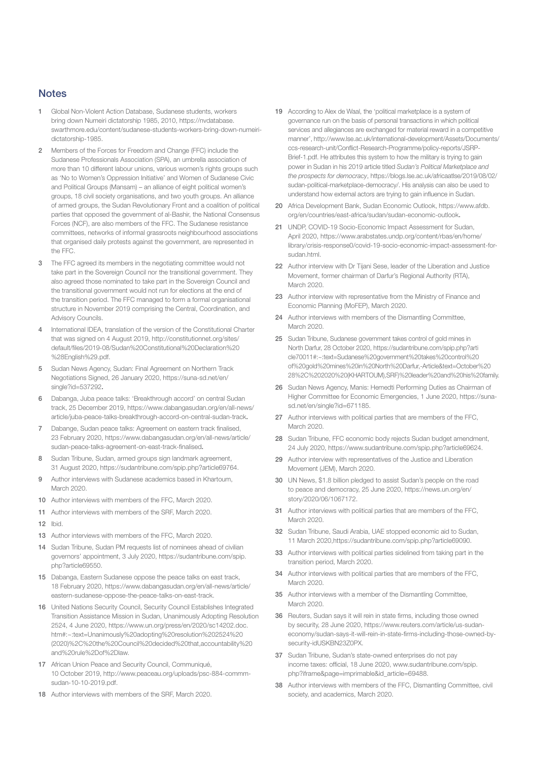#### **Notes**

- 1 Global Non-Violent Action Database, Sudanese students, workers bring down Numeiri dictatorship 1985, 2010, [https://nvdatabase.](about:blank) [swarthmore.edu/content/sudanese-students-workers-bring-down-numeiri](about:blank)[dictatorship-1985](about:blank).
- 2 Members of the Forces for Freedom and Change (FFC) include the Sudanese Professionals Association (SPA), an umbrella association of more than 10 different labour unions, various women's rights groups such as 'No to Women's Oppression Initiative' and Women of Sudanese Civic and Political Groups (Mansam) – an alliance of eight political women's groups, 18 civil society organisations, and two youth groups. An alliance of armed groups, the Sudan Revolutionary Front and a coalition of political parties that opposed the government of al-Bashir, the National Consensus Forces (NCF), are also members of the FFC. The Sudanese resistance committees, networks of informal grassroots neighbourhood associations that organised daily protests against the government, are represented in the FFC.
- 3 The FFC agreed its members in the negotiating committee would not take part in the Sovereign Council nor the transitional government. They also agreed those nominated to take part in the Sovereign Council and the transitional government would not run for elections at the end of the transition period. The FFC managed to form a formal organisational structure in November 2019 comprising the Central, Coordination, and Advisory Councils.
- International IDEA, translation of the version of the Constitutional Charter that was signed on 4 August 2019, [http://constitutionnet.org/sites/](about:blank) [default/files/2019-08/Sudan%20Constitutional%20Declaration%20](about:blank) [%28English%29.pdf](about:blank).
- 5 Sudan News Agency, Sudan: Final Agreement on Northern Track Negotiations Signed, 26 January 2020, [https://suna-sd.net/en/](about:blank) [single?id=537292](about:blank).
- 6 Dabanga, Juba peace talks: 'Breakthrough accord' on central Sudan track, 25 December 2019, [https://www.dabangasudan.org/en/all-news/](about:blank) [article/juba-peace-talks-breakthrough-accord-on-central-sudan-track](about:blank).
- 7 Dabange, Sudan peace talks: Agreement on eastern track finalised, 23 February 2020, [https://www.dabangasudan.org/en/all-news/article/](about:blank) [sudan-peace-talks-agreement-on-east-track-finalised](about:blank).
- 8 Sudan Tribune, Sudan, armed groups sign landmark agreement, 31 August 2020, [https://sudantribune.com/spip.php?article69764](about:blank).
- 9 Author interviews with Sudanese academics based in Khartoum. March 2020.
- 10 Author interviews with members of the FFC, March 2020.
- 11 Author interviews with members of the SRF, March 2020.
- 12 Ibid.
- 13 Author interviews with members of the FFC, March 2020.
- 14 Sudan Tribune, Sudan PM requests list of nominees ahead of civilian governors' appointment, 3 July 2020, [https://sudantribune.com/spip.](about:blank) [php?article69550](about:blank).
- 15 Dabanga, Eastern Sudanese oppose the peace talks on east track, 18 February 2020, [https://www.dabangasudan.org/en/all-news/article/](about:blank) [eastern-sudanese-oppose-the-peace-talks-on-east-track](about:blank).
- 16 United Nations Security Council, Security Council Establishes Integrated Transition Assistance Mission in Sudan, Unanimously Adopting Resolution 2524, 4 June 2020, https://www.un.org/press/en/2020/sc14202.doc. htm#:~:text=Unanimously%20adopting%20resolution%202524%20 (2020)%2C%20the%20Council%20decided%20that,accountability%20 and%20rule%2Dof%2Dlaw.
- 17 African Union Peace and Security Council, Communiqué, 10 October 2019, [http://www.peaceau.org/uploads/psc-884-commm](about:blank)[sudan-10-10-2019.pdf](about:blank).
- 18 Author interviews with members of the SRF, March 2020.
- 19 According to Alex de Waal, the 'political marketplace is a system of governance run on the basis of personal transactions in which political services and allegiances are exchanged for material reward in a competitive manner', [http://www.lse.ac.uk/international-development/Assets/Documents/](about:blank) [ccs-research-unit/Conflict-Research-Programme/policy-reports/JSRP-](about:blank)[Brief-1.pdf.](about:blank) He attributes this system to how the military is trying to gain power in Sudan in his 2019 article titled *Sudan's Political Marketplace and the prospects for democracy*, [https://blogs.lse.ac.uk/africaatlse/2019/08/02/](about:blank) [sudan-political-marketplace-democracy/](about:blank). His analysis can also be used to understand how external actors are trying to gain influence in Sudan.
- 20 Africa Development Bank, Sudan Economic Outlook, [https://www.afdb.](about:blank) [org/en/countries/east-africa/sudan/sudan-economic-outlook](about:blank).
- 21 UNDP, COVID-19 Socio-Economic Impact Assessment for Sudan, April 2020, https://www.arabstates.undp.org/content/rbas/en/home/ library/crisis-response0/covid-19-socio-economic-impact-assessment-forsudan.html.
- 22 Author interview with Dr Tijani Sese, leader of the Liberation and Justice Movement, former chairman of Darfur's Regional Authority (RTA), March 2020.
- 23 Author interview with representative from the Ministry of Finance and Economic Planning (MoFEP), March 2020.
- 24 Author interviews with members of the Dismantling Committee. March 2020.
- 25 Sudan Tribune, Sudanese government takes control of gold mines in North Darfur, 28 October 2020, https://sudantribune.com/spip.php?arti cle70011#:~:text=Sudanese%20government%20takes%20control%20 of%20gold%20mines%20in%20North%20Darfur,-Article&text=October%20 28%2C%202020%20(KHARTOUM),SRF)%20leader%20and%20his%20family.
- 26 Sudan News Agency, Manis: Hemedti Performing Duties as Chairman of Higher Committee for Economic Emergencies, 1 June 2020, [https://suna](about:blank)[sd.net/en/single?id=671185](about:blank).
- 27 Author interviews with political parties that are members of the FFC, March 2020.
- 28 Sudan Tribune, FFC economic body rejects Sudan budget amendment, 24 July 2020, [https://www.sudantribune.com/spip.php?article69624.](about:blank)
- 29 Author interview with representatives of the Justice and Liberation Movement (JEM), March 2020.
- 30 UN News, \$1.8 billion pledged to assist Sudan's people on the road to peace and democracy, 25 June 2020, https://news.un.org/en/ story/2020/06/1067172.
- 31 Author interviews with political parties that are members of the FFC, March 2020.
- 32 Sudan Tribune, Saudi Arabia, UAE stopped economic aid to Sudan, 11 March 2020,https://sudantribune.com/spip.php?article69090.
- 33 Author interviews with political parties sidelined from taking part in the transition period, March 2020.
- 34 Author interviews with political parties that are members of the FFC, March 2020
- 35 Author interviews with a member of the Dismantling Committee, March 2020.
- 36 Reuters, Sudan says it will rein in state firms, including those owned by security, 28 June 2020, https://www.reuters.com/article/us-sudaneconomy/sudan-says-it-will-rein-in-state-firms-including-those-owned-bysecurity-idUSKBN23Z0PX.
- 37 Sudan Tribune, Sudan's state-owned enterprises do not pay income taxes: official, 18 June 2020, [www.sudantribune.com/spip.](http://www.sudantribune.com/spip.php?iframe&page=imprimable&id_article=69488) [php?iframe&page=imprimable&id\\_article=69488](http://www.sudantribune.com/spip.php?iframe&page=imprimable&id_article=69488).
- 38 Author interviews with members of the FFC, Dismantling Committee, civil society, and academics, March 2020.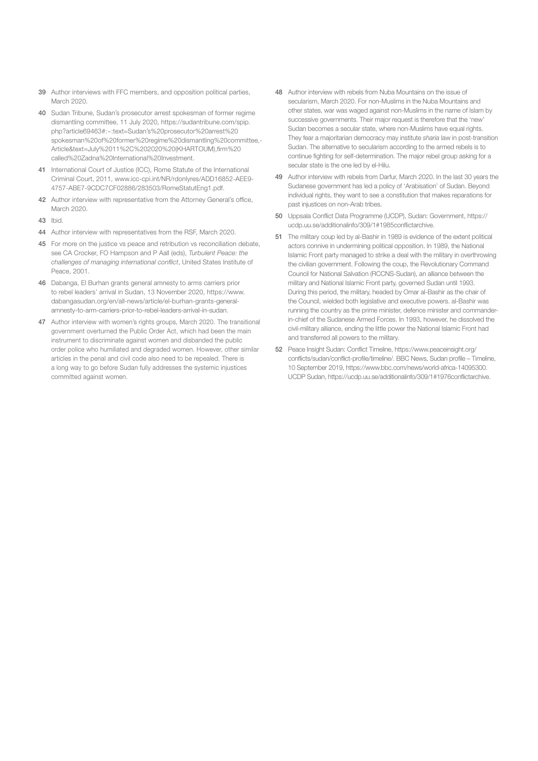- 39 Author interviews with FFC members, and opposition political parties, March 2020.
- 40 Sudan Tribune, Sudan's prosecutor arrest spokesman of former regime dismantling committee, 11 July 2020, https://sudantribune.com/spip. php?article69463#:~:text=Sudan's%20prosecutor%20arrest%20 spokesman%20of%20former%20regime%20dismantling%20committee,- Article&text=July%2011%2C%202020%20(KHARTOUM),firm%20 called%20Zadna%20International%20Investment.
- 41 International Court of Justice (ICC), Rome Statute of the International Criminal Court, 2011, [www.icc-cpi.int/NR/rdonlyres/ADD16852-AEE9-](about:blank) [4757-ABE7-9CDC7CF02886/283503/RomeStatutEng1.pdf.](about:blank)
- 42 Author interview with representative from the Attorney General's office, March 2020.
- 43 Ibid.
- 44 Author interview with representatives from the RSF, March 2020.
- 45 For more on the justice vs peace and retribution vs reconciliation debate. see CA Crocker, FO Hampson and P Aall (eds), *Turbulent Peace: the challenges of managing international conflict*, United States Institute of Peace, 2001.
- 46 Dabanga, El Burhan grants general amnesty to arms carriers prior to rebel leaders' arrival in Sudan, 13 November 2020, [https://www.](https://www.dabangasudan.org/en/all-news/article/el-burhan-grants-general-amnesty-to-arm-carriers-prior-to-rebel-leaders-arrival-in-sudan) [dabangasudan.org/en/all-news/article/el-burhan-grants-general](https://www.dabangasudan.org/en/all-news/article/el-burhan-grants-general-amnesty-to-arm-carriers-prior-to-rebel-leaders-arrival-in-sudan)[amnesty-to-arm-carriers-prior-to-rebel-leaders-arrival-in-sudan.](https://www.dabangasudan.org/en/all-news/article/el-burhan-grants-general-amnesty-to-arm-carriers-prior-to-rebel-leaders-arrival-in-sudan)
- 47 Author interview with women's rights groups, March 2020. The transitional government overturned the Public Order Act, which had been the main instrument to discriminate against women and disbanded the public order police who humiliated and degraded women. However, other similar articles in the penal and civil code also need to be repealed. There is a long way to go before Sudan fully addresses the systemic injustices committed against women.
- 48 Author interview with rebels from Nuba Mountains on the issue of secularism, March 2020. For non-Muslims in the Nuba Mountains and other states, war was waged against non-Muslims in the name of Islam by successive governments. Their major request is therefore that the 'new' Sudan becomes a secular state, where non-Muslims have equal rights. They fear a majoritarian democracy may institute *sharia* law in post-transition Sudan. The alternative to secularism according to the armed rebels is to continue fighting for self-determination. The major rebel group asking for a secular state is the one led by el-Hilu.
- 49 Author interview with rebels from Darfur, March 2020. In the last 30 years the Sudanese government has led a policy of 'Arabisation' of Sudan. Beyond individual rights, they want to see a constitution that makes reparations for past injustices on non-Arab tribes.
- 50 Uppsala Conflict Data Programme (UCDP), Sudan: Government, https:// ucdp.uu.se/additionalinfo/309/1#1985conflictarchive.
- 51 The military coup led by al-Bashir in 1989 is evidence of the extent nolitical actors connive in undermining political opposition. In 1989, the National Islamic Front party managed to strike a deal with the military in overthrowing the civilian government. Following the coup, the Revolutionary Command Council for National Salvation (RCCNS-Sudan), an alliance between the military and National Islamic Front party, governed Sudan until 1993. During this period, the military, headed by Omar al-Bashir as the chair of the Council, wielded both legislative and executive powers. al-Bashir was running the country as the prime minister, defence minister and commanderin-chief of the Sudanese Armed Forces. In 1993, however, he dissolved the civil-military alliance, ending the little power the National Islamic Front had and transferred all powers to the military.
- 52 Peace Insight Sudan: Conflict Timeline, https://www.peaceinsight.org/ conflicts/sudan/conflict-profile/timeline/. BBC News, Sudan profile – Timeline, 10 September 2019, [https://www.bbc.com/news/world-africa-14095300.](about:blank) UCDP Sudan, https://ucdp.uu.se/additionalinfo/309/1#1976conflictarchive.